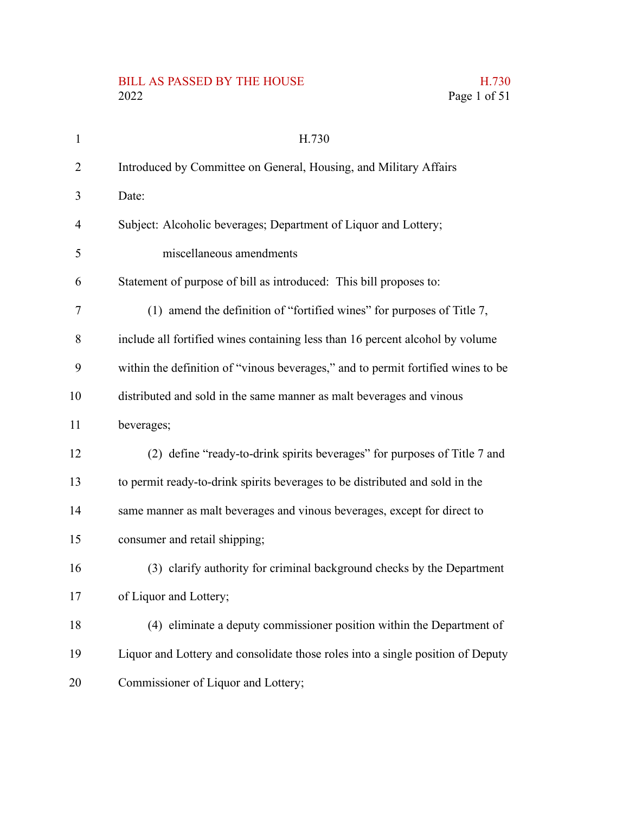# BILL AS PASSED BY THE HOUSE H.730<br>2022 Page 1 of 51

| $\mathbf{1}$ | H.730                                                                            |
|--------------|----------------------------------------------------------------------------------|
| 2            | Introduced by Committee on General, Housing, and Military Affairs                |
| 3            | Date:                                                                            |
| 4            | Subject: Alcoholic beverages; Department of Liquor and Lottery;                  |
| 5            | miscellaneous amendments                                                         |
| 6            | Statement of purpose of bill as introduced: This bill proposes to:               |
| 7            | (1) amend the definition of "fortified wines" for purposes of Title 7,           |
| 8            | include all fortified wines containing less than 16 percent alcohol by volume    |
| 9            | within the definition of "vinous beverages," and to permit fortified wines to be |
| 10           | distributed and sold in the same manner as malt beverages and vinous             |
| 11           | beverages;                                                                       |
| 12           | (2) define "ready-to-drink spirits beverages" for purposes of Title 7 and        |
| 13           | to permit ready-to-drink spirits beverages to be distributed and sold in the     |
| 14           | same manner as malt beverages and vinous beverages, except for direct to         |
| 15           | consumer and retail shipping;                                                    |
| 16           | (3) clarify authority for criminal background checks by the Department           |
| 17           | of Liquor and Lottery;                                                           |
| 18           | (4) eliminate a deputy commissioner position within the Department of            |
| 19           | Liquor and Lottery and consolidate those roles into a single position of Deputy  |
| 20           | Commissioner of Liquor and Lottery;                                              |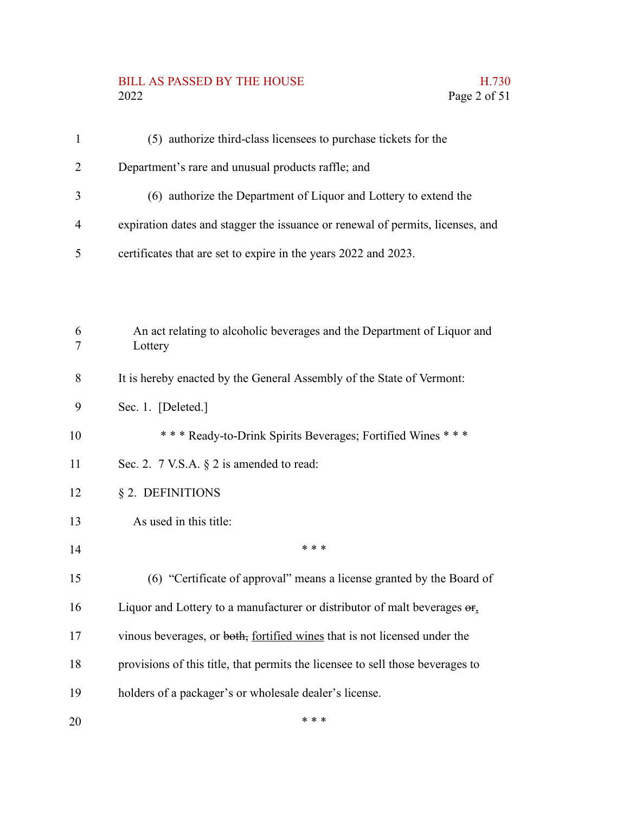# BILL AS PASSED BY THE HOUSE H.730<br>2022 Page 2 of 51

| $\mathbf{1}$   | (5) authorize third-class licensees to purchase tickets for the                      |
|----------------|--------------------------------------------------------------------------------------|
| $\overline{2}$ | Department's rare and unusual products raffle; and                                   |
| 3              | (6) authorize the Department of Liquor and Lottery to extend the                     |
| $\overline{4}$ | expiration dates and stagger the issuance or renewal of permits, licenses, and       |
| 5              | certificates that are set to expire in the years 2022 and 2023.                      |
|                |                                                                                      |
|                |                                                                                      |
| 6<br>$\tau$    | An act relating to alcoholic beverages and the Department of Liquor and<br>Lottery   |
| 8              | It is hereby enacted by the General Assembly of the State of Vermont:                |
| 9              | Sec. 1. [Deleted.]                                                                   |
| 10             | *** Ready-to-Drink Spirits Beverages; Fortified Wines ***                            |
| 11             | Sec. 2. 7 V.S.A. § 2 is amended to read:                                             |
| 12             | § 2. DEFINITIONS                                                                     |
| 13             | As used in this title:                                                               |
| 14             | * * *                                                                                |
| 15             | (6) "Certificate of approval" means a license granted by the Board of                |
| 16             | Liquor and Lottery to a manufacturer or distributor of malt beverages $\Theta_{f_2}$ |
| 17             | vinous beverages, or both, fortified wines that is not licensed under the            |
| 18             | provisions of this title, that permits the licensee to sell those beverages to       |
| 19             | holders of a packager's or wholesale dealer's license.                               |
| 20             | * * *                                                                                |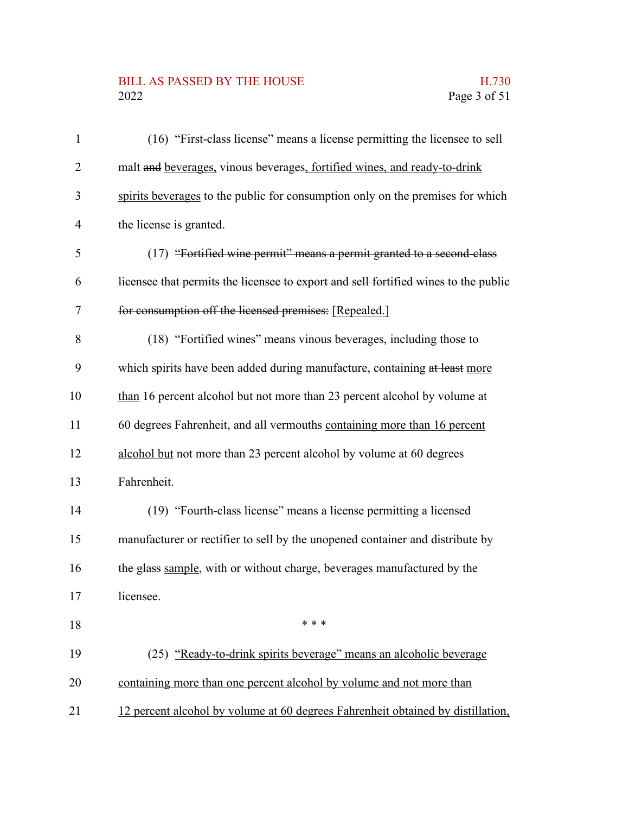## BILL AS PASSED BY THE HOUSE H.730<br>2022 Page 3 of 51

| $\mathbf{1}$             | (16) "First-class license" means a license permitting the licensee to sell          |
|--------------------------|-------------------------------------------------------------------------------------|
| $\overline{2}$           | malt and beverages, vinous beverages, fortified wines, and ready-to-drink           |
| 3                        | spirits beverages to the public for consumption only on the premises for which      |
| $\overline{\mathcal{A}}$ | the license is granted.                                                             |
| 5                        | (17) "Fortified wine permit" means a permit granted to a second-class               |
| 6                        | licensee that permits the licensee to export and sell fortified wines to the public |
| 7                        | for consumption off the licensed premises: [Repealed.]                              |
| 8                        | (18) "Fortified wines" means vinous beverages, including those to                   |
| 9                        | which spirits have been added during manufacture, containing at least more          |
| 10                       | than 16 percent alcohol but not more than 23 percent alcohol by volume at           |
| 11                       | 60 degrees Fahrenheit, and all vermouths containing more than 16 percent            |
| 12                       | alcohol but not more than 23 percent alcohol by volume at 60 degrees                |
| 13                       | Fahrenheit.                                                                         |
| 14                       | (19) "Fourth-class license" means a license permitting a licensed                   |
| 15                       | manufacturer or rectifier to sell by the unopened container and distribute by       |
| 16                       | the glass sample, with or without charge, beverages manufactured by the             |
| 17                       | licensee.                                                                           |
| 18                       | * * *                                                                               |
| 19                       | (25) "Ready-to-drink spirits beverage" means an alcoholic beverage                  |
| 20                       | containing more than one percent alcohol by volume and not more than                |
| 21                       | 12 percent alcohol by volume at 60 degrees Fahrenheit obtained by distillation,     |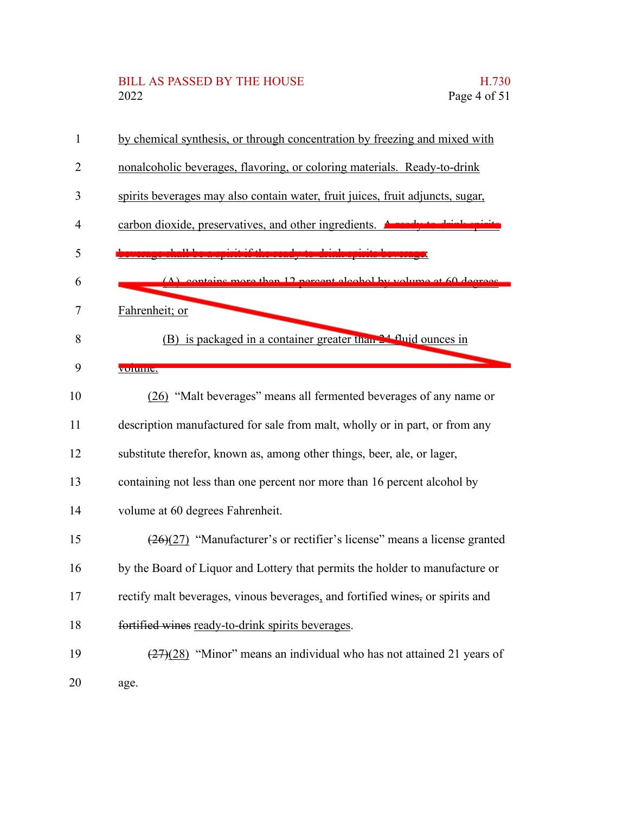#### BILL AS PASSED BY THE HOUSE **H.730** 2022 Page 4 of 51

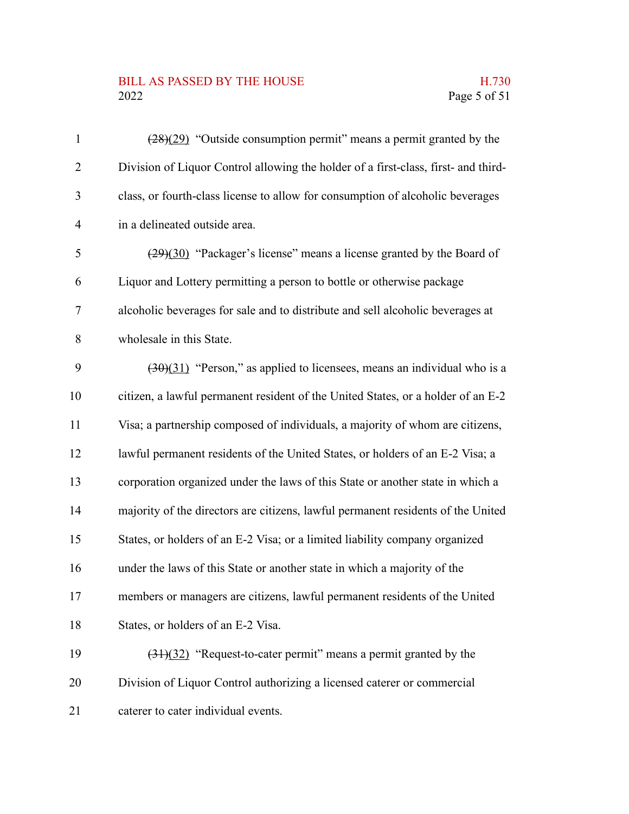### BILL AS PASSED BY THE HOUSE H.730<br>2022 Page 5 of 51

| $\mathbf{1}$   | $(28)(29)$ "Outside consumption permit" means a permit granted by the              |
|----------------|------------------------------------------------------------------------------------|
| $\overline{2}$ | Division of Liquor Control allowing the holder of a first-class, first- and third- |
| 3              | class, or fourth-class license to allow for consumption of alcoholic beverages     |
| 4              | in a delineated outside area.                                                      |
| 5              | $(29)(30)$ "Packager's license" means a license granted by the Board of            |
| 6              | Liquor and Lottery permitting a person to bottle or otherwise package              |
| 7              | alcoholic beverages for sale and to distribute and sell alcoholic beverages at     |
| 8              | wholesale in this State.                                                           |
| 9              | $(30)(31)$ "Person," as applied to licensees, means an individual who is a         |
| 10             | citizen, a lawful permanent resident of the United States, or a holder of an E-2   |
| 11             | Visa; a partnership composed of individuals, a majority of whom are citizens,      |
| 12             | lawful permanent residents of the United States, or holders of an E-2 Visa; a      |
| 13             | corporation organized under the laws of this State or another state in which a     |
| 14             | majority of the directors are citizens, lawful permanent residents of the United   |
| 15             | States, or holders of an E-2 Visa; or a limited liability company organized        |
| 16             | under the laws of this State or another state in which a majority of the           |
| 17             | members or managers are citizens, lawful permanent residents of the United         |
| 18             | States, or holders of an E-2 Visa.                                                 |
| 19             | $(31)(32)$ "Request-to-cater permit" means a permit granted by the                 |
| 20             | Division of Liquor Control authorizing a licensed caterer or commercial            |
| 21             | caterer to cater individual events.                                                |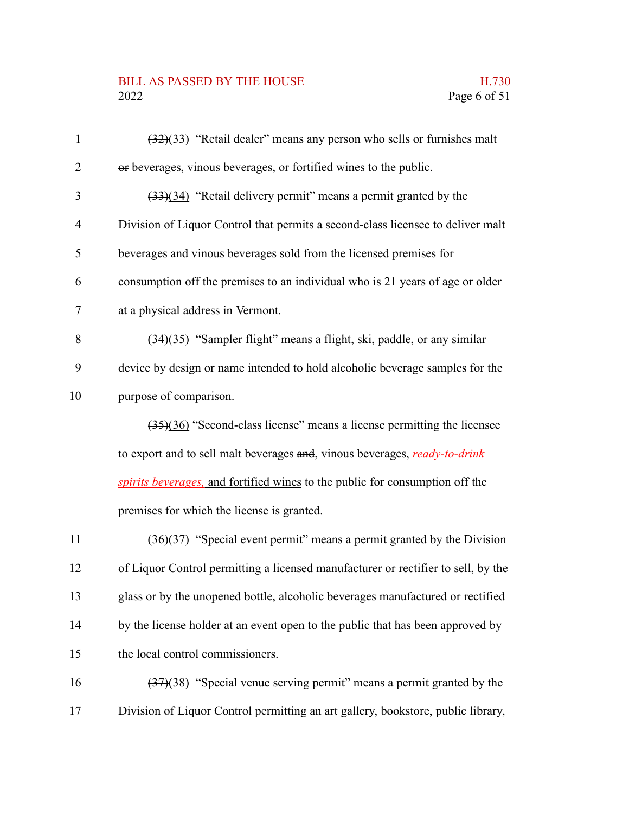#### BILL AS PASSED BY THE HOUSE H.730 2022 Page 6 of 51

| $\mathbf{1}$   | $(32)(33)$ "Retail dealer" means any person who sells or furnishes malt         |
|----------------|---------------------------------------------------------------------------------|
| $\overline{2}$ | or beverages, vinous beverages, or fortified wines to the public.               |
| 3              | $(33)(34)$ "Retail delivery permit" means a permit granted by the               |
| 4              | Division of Liquor Control that permits a second-class licensee to deliver malt |
| 5              | beverages and vinous beverages sold from the licensed premises for              |
| 6              | consumption off the premises to an individual who is 21 years of age or older   |
| $\tau$         | at a physical address in Vermont.                                               |
| 8              | (34)(35) "Sampler flight" means a flight, ski, paddle, or any similar           |
| 9              | device by design or name intended to hold alcoholic beverage samples for the    |
| 10             | purpose of comparison.                                                          |
|                | $(35)(36)$ "Second-class license" means a license permitting the licensee       |
|                | to export and to sell malt beverages and, vinous beverages, ready-to-drink      |
|                | spirits beverages, and fortified wines to the public for consumption off the    |
|                | premises for which the license is granted.                                      |
|                |                                                                                 |

(36)(37) "Special event permit" means a permit granted by the Division of Liquor Control permitting a licensed manufacturer or rectifier to sell, by the glass or by the unopened bottle, alcoholic beverages manufactured or rectified by the license holder at an event open to the public that has been approved by the local control commissioners. 11 12 13 14 15

(37)(38) "Special venue serving permit" means a permit granted by the Division of Liquor Control permitting an art gallery, bookstore, public library, 16 17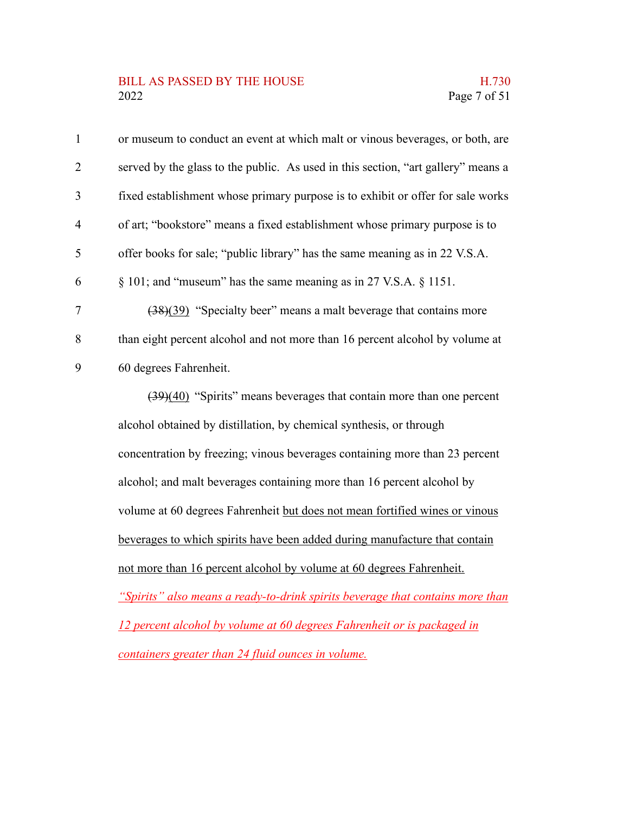#### BILL AS PASSED BY THE HOUSE H.730 2022 Page 7 of 51

| $\mathbf{1}$   | or museum to conduct an event at which malt or vinous beverages, or both, are     |
|----------------|-----------------------------------------------------------------------------------|
| 2              | served by the glass to the public. As used in this section, "art gallery" means a |
| 3              | fixed establishment whose primary purpose is to exhibit or offer for sale works   |
| $\overline{4}$ | of art; "bookstore" means a fixed establishment whose primary purpose is to       |
| 5              | offer books for sale; "public library" has the same meaning as in 22 V.S.A.       |
| 6              | $\S$ 101; and "museum" has the same meaning as in 27 V.S.A. $\S$ 1151.            |
| $\overline{7}$ | $(38)(39)$ "Specialty beer" means a malt beverage that contains more              |
| 8              | than eight percent alcohol and not more than 16 percent alcohol by volume at      |
| 9              | 60 degrees Fahrenheit.                                                            |
|                | $(39)(40)$ "Spirits" means beverages that contain more than one percent           |
|                | alcohol obtained by distillation, by chemical synthesis, or through               |

concentration by freezing; vinous beverages containing more than 23 percent alcohol; and malt beverages containing more than 16 percent alcohol by volume at 60 degrees Fahrenheit but does not mean fortified wines or vinous beverages to which spirits have been added during manufacture that contain not more than 16 percent alcohol by volume at 60 degrees Fahrenheit.

*"Spirits" also means a ready-to-drink spirits beverage that contains more than 12 percent alcohol by volume at 60 degrees Fahrenheit or is packaged in containers greater than 24 fluid ounces in volume.*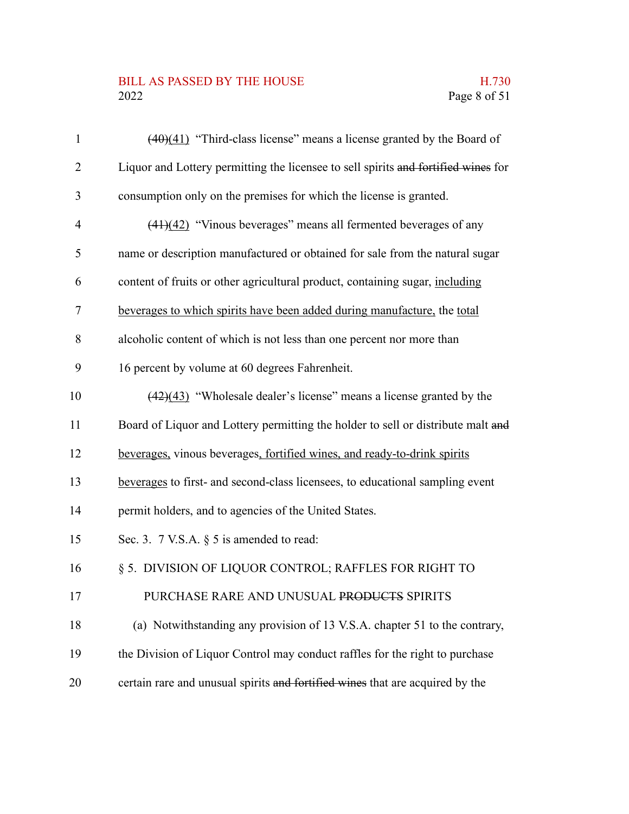#### BILL AS PASSED BY THE HOUSE H.730<br>2022 Page 8 of 51

| $\mathbf{1}$   | $(40)(41)$ "Third-class license" means a license granted by the Board of           |
|----------------|------------------------------------------------------------------------------------|
| $\overline{2}$ | Liquor and Lottery permitting the licensee to sell spirits and fortified wines for |
| 3              | consumption only on the premises for which the license is granted.                 |
| 4              | $(41)(42)$ "Vinous beverages" means all fermented beverages of any                 |
| 5              | name or description manufactured or obtained for sale from the natural sugar       |
| 6              | content of fruits or other agricultural product, containing sugar, including       |
| 7              | beverages to which spirits have been added during manufacture, the total           |
| 8              | alcoholic content of which is not less than one percent nor more than              |
| 9              | 16 percent by volume at 60 degrees Fahrenheit.                                     |
| 10             | $(42)(43)$ "Wholesale dealer's license" means a license granted by the             |
| 11             | Board of Liquor and Lottery permitting the holder to sell or distribute malt and   |
| 12             | beverages, vinous beverages, fortified wines, and ready-to-drink spirits           |
| 13             | beverages to first- and second-class licensees, to educational sampling event      |
| 14             | permit holders, and to agencies of the United States.                              |
| 15             | Sec. 3. 7 V.S.A. § 5 is amended to read:                                           |
| 16             | § 5. DIVISION OF LIQUOR CONTROL; RAFFLES FOR RIGHT TO                              |
| 17             | PURCHASE RARE AND UNUSUAL PRODUCTS SPIRITS                                         |
| 18             | (a) Notwithstanding any provision of 13 V.S.A. chapter 51 to the contrary,         |
| 19             | the Division of Liquor Control may conduct raffles for the right to purchase       |
| 20             | certain rare and unusual spirits and fortified wines that are acquired by the      |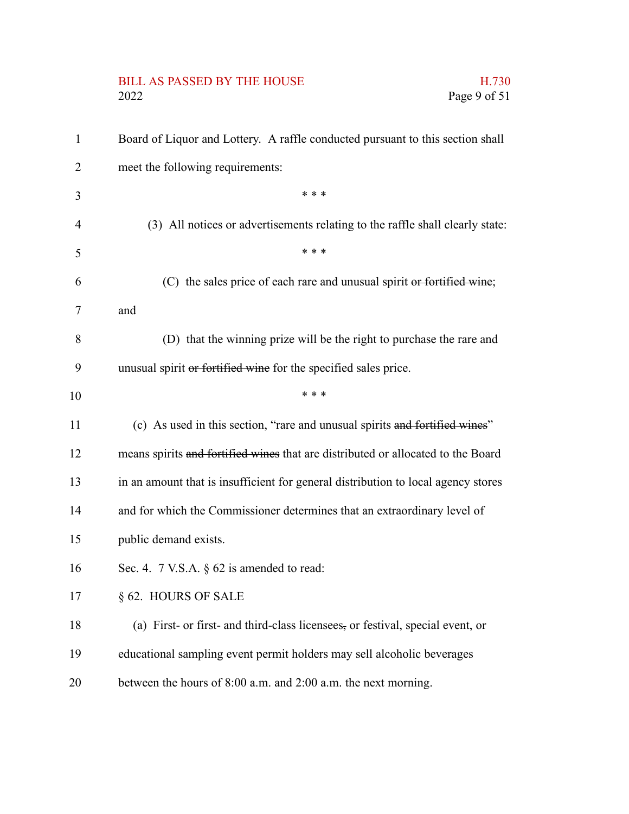# BILL AS PASSED BY THE HOUSE H.730<br>2022 Page 9 of 51

| $\mathbf{1}$ | Board of Liquor and Lottery. A raffle conducted pursuant to this section shall    |
|--------------|-----------------------------------------------------------------------------------|
| 2            | meet the following requirements:                                                  |
| 3            | * * *                                                                             |
| 4            | (3) All notices or advertisements relating to the raffle shall clearly state:     |
| 5            | * * *                                                                             |
| 6            | (C) the sales price of each rare and unusual spirit or fortified wine;            |
| 7            | and                                                                               |
| 8            | (D) that the winning prize will be the right to purchase the rare and             |
| 9            | unusual spirit or fortified wine for the specified sales price.                   |
| 10           | * * *                                                                             |
| 11           | (c) As used in this section, "rare and unusual spirits and fortified wines"       |
| 12           | means spirits and fortified wines that are distributed or allocated to the Board  |
| 13           | in an amount that is insufficient for general distribution to local agency stores |
| 14           | and for which the Commissioner determines that an extraordinary level of          |
| 15           | public demand exists.                                                             |
| 16           | Sec. 4. $7$ V.S.A. $\S$ 62 is amended to read:                                    |
| 17           | § 62. HOURS OF SALE                                                               |
| 18           | (a) First- or first- and third-class licensees, or festival, special event, or    |
| 19           | educational sampling event permit holders may sell alcoholic beverages            |
| 20           | between the hours of 8:00 a.m. and 2:00 a.m. the next morning.                    |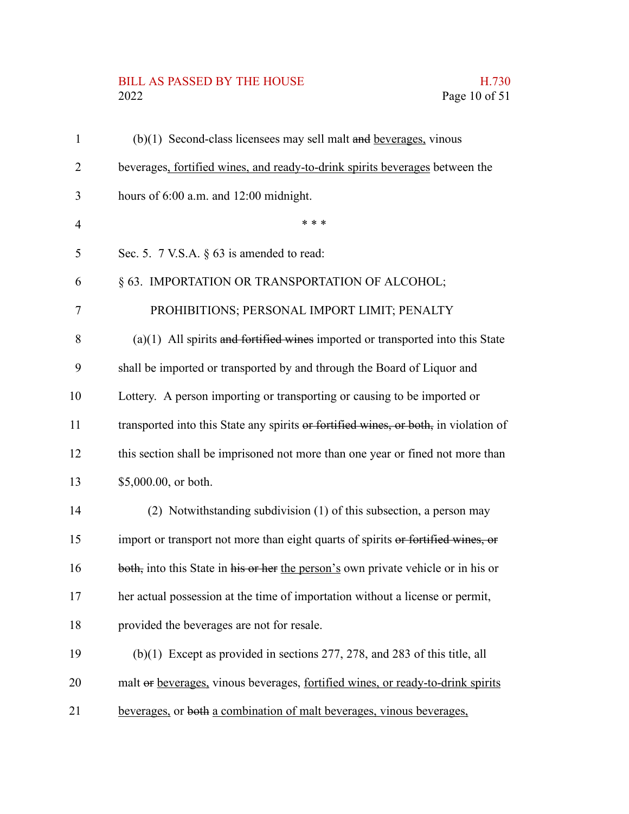## BILL AS PASSED BY THE HOUSE H.730<br>2022 Page 10 of 51

| $\mathbf{1}$   | $(b)(1)$ Second-class licensees may sell malt and beverages, vinous                  |
|----------------|--------------------------------------------------------------------------------------|
| $\overline{2}$ | beverages, fortified wines, and ready-to-drink spirits beverages between the         |
| 3              | hours of 6:00 a.m. and 12:00 midnight.                                               |
| 4              | * * *                                                                                |
| 5              | Sec. 5. 7 V.S.A. § 63 is amended to read:                                            |
| 6              | § 63. IMPORTATION OR TRANSPORTATION OF ALCOHOL;                                      |
| 7              | PROHIBITIONS; PERSONAL IMPORT LIMIT; PENALTY                                         |
| 8              | $(a)(1)$ All spirits and fortified wines imported or transported into this State     |
| 9              | shall be imported or transported by and through the Board of Liquor and              |
| 10             | Lottery. A person importing or transporting or causing to be imported or             |
| 11             | transported into this State any spirits or fortified wines, or both, in violation of |
| 12             | this section shall be imprisoned not more than one year or fined not more than       |
| 13             | \$5,000.00, or both.                                                                 |
| 14             | (2) Notwithstanding subdivision (1) of this subsection, a person may                 |
| 15             | import or transport not more than eight quarts of spirits or fortified wines, or     |
| 16             | both, into this State in his or her the person's own private vehicle or in his or    |
| 17             | her actual possession at the time of importation without a license or permit,        |
| 18             | provided the beverages are not for resale.                                           |
| 19             | $(b)(1)$ Except as provided in sections 277, 278, and 283 of this title, all         |
| 20             | malt or beverages, vinous beverages, fortified wines, or ready-to-drink spirits      |
| 21             | beverages, or both a combination of malt beverages, vinous beverages,                |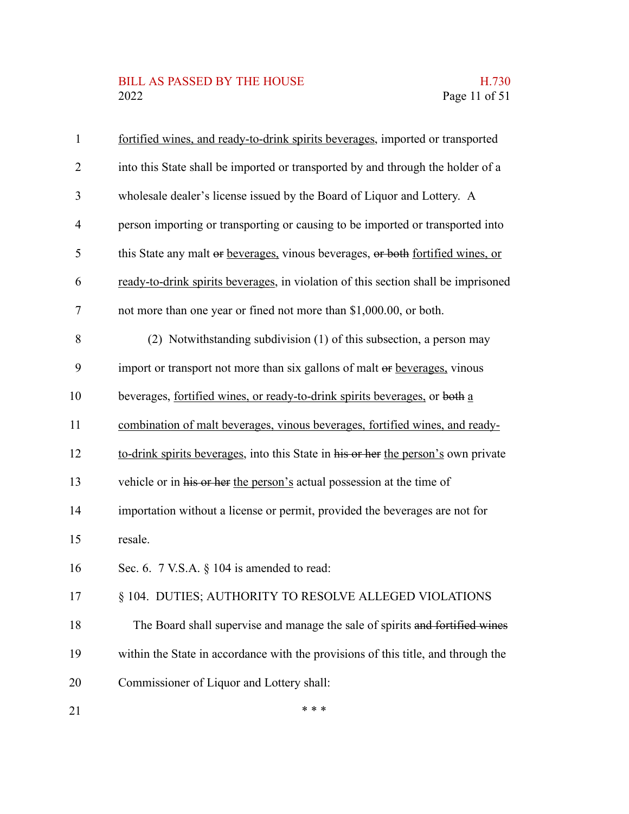#### BILL AS PASSED BY THE HOUSE H.730<br>2022 Page 11 of 51

| $\mathbf{1}$   | fortified wines, and ready-to-drink spirits beverages, imported or transported     |
|----------------|------------------------------------------------------------------------------------|
| $\overline{2}$ | into this State shall be imported or transported by and through the holder of a    |
| 3              | wholesale dealer's license issued by the Board of Liquor and Lottery. A            |
| 4              | person importing or transporting or causing to be imported or transported into     |
| 5              | this State any malt or beverages, vinous beverages, or both fortified wines, or    |
| 6              | ready-to-drink spirits beverages, in violation of this section shall be imprisoned |
| 7              | not more than one year or fined not more than \$1,000.00, or both.                 |
| 8              | (2) Notwithstanding subdivision (1) of this subsection, a person may               |
| 9              | import or transport not more than six gallons of malt or beverages, vinous         |
| 10             | beverages, fortified wines, or ready-to-drink spirits beverages, or both a         |
| 11             | combination of malt beverages, vinous beverages, fortified wines, and ready-       |
| 12             | to-drink spirits beverages, into this State in his or her the person's own private |
| 13             | vehicle or in his or her the person's actual possession at the time of             |
| 14             | importation without a license or permit, provided the beverages are not for        |
| 15             | resale.                                                                            |
| 16             | Sec. 6. 7 V.S.A. § 104 is amended to read:                                         |
| 17             | § 104. DUTIES; AUTHORITY TO RESOLVE ALLEGED VIOLATIONS                             |
| 18             | The Board shall supervise and manage the sale of spirits and fortified wines       |
| 19             | within the State in accordance with the provisions of this title, and through the  |
| 20             | Commissioner of Liquor and Lottery shall:                                          |
| 21             | * * *                                                                              |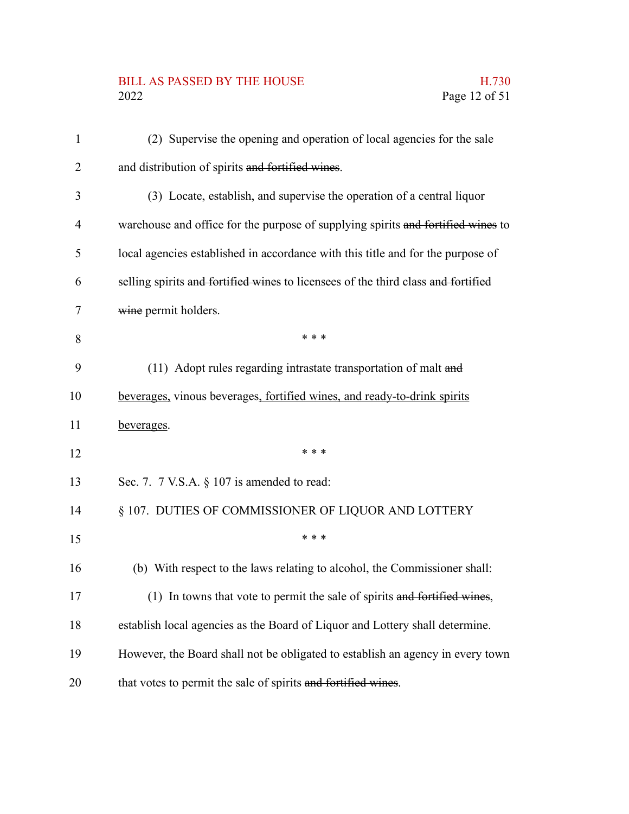# BILL AS PASSED BY THE HOUSE H.730<br>2022 Page 12 of 51

| $\mathbf{1}$ | (2) Supervise the opening and operation of local agencies for the sale            |
|--------------|-----------------------------------------------------------------------------------|
| 2            | and distribution of spirits and fortified wines.                                  |
| 3            | (3) Locate, establish, and supervise the operation of a central liquor            |
| 4            | warehouse and office for the purpose of supplying spirits and fortified wines to  |
| 5            | local agencies established in accordance with this title and for the purpose of   |
| 6            | selling spirits and fortified wines to licensees of the third class and fortified |
| 7            | wine permit holders.                                                              |
| 8            | * * *                                                                             |
| 9            | (11) Adopt rules regarding intrastate transportation of malt and                  |
| 10           | beverages, vinous beverages, fortified wines, and ready-to-drink spirits          |
| 11           | beverages.                                                                        |
| 12           | * * *                                                                             |
| 13           | Sec. 7. 7 V.S.A. § 107 is amended to read:                                        |
| 14           | § 107. DUTIES OF COMMISSIONER OF LIQUOR AND LOTTERY                               |
| 15           | * * *                                                                             |
| 16           | (b) With respect to the laws relating to alcohol, the Commissioner shall:         |
| 17           | (1) In towns that vote to permit the sale of spirits and fortified wines,         |
| 18           | establish local agencies as the Board of Liquor and Lottery shall determine.      |
| 19           | However, the Board shall not be obligated to establish an agency in every town    |
| 20           | that votes to permit the sale of spirits and fortified wines.                     |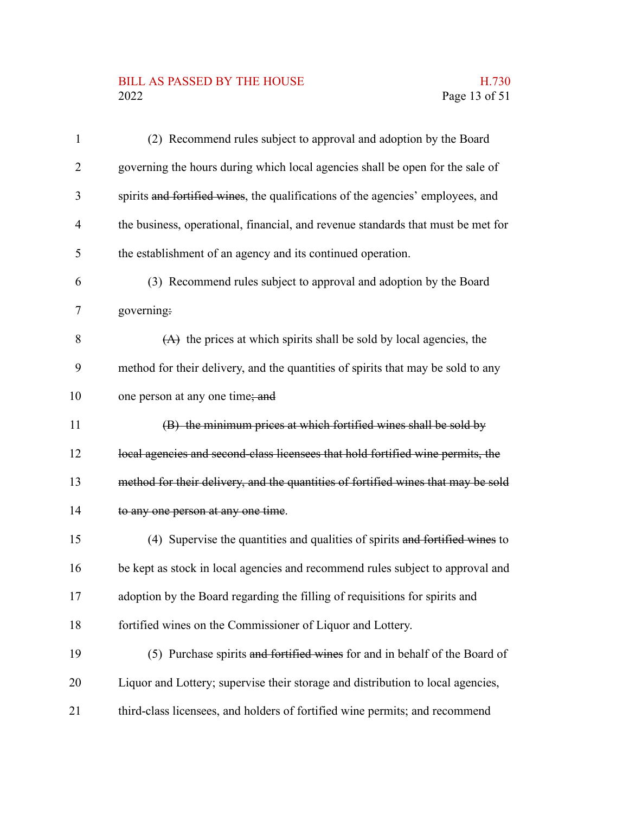## BILL AS PASSED BY THE HOUSE H.730<br>2022 Page 13 of 51

| $\mathbf{1}$   | (2) Recommend rules subject to approval and adoption by the Board                 |
|----------------|-----------------------------------------------------------------------------------|
| $\overline{2}$ | governing the hours during which local agencies shall be open for the sale of     |
| 3              | spirits and fortified wines, the qualifications of the agencies' employees, and   |
| $\overline{4}$ | the business, operational, financial, and revenue standards that must be met for  |
| 5              | the establishment of an agency and its continued operation.                       |
| 6              | (3) Recommend rules subject to approval and adoption by the Board                 |
| 7              | governing:                                                                        |
| 8              | $(A)$ the prices at which spirits shall be sold by local agencies, the            |
| 9              | method for their delivery, and the quantities of spirits that may be sold to any  |
| 10             | one person at any one time; and                                                   |
| 11             | (B) the minimum prices at which fortified wines shall be sold by                  |
| 12             | local agencies and second-class licensees that hold fortified wine permits, the   |
| 13             | method for their delivery, and the quantities of fortified wines that may be sold |
| 14             | to any one person at any one time.                                                |
| 15             | (4) Supervise the quantities and qualities of spirits and fortified wines to      |
| 16             | be kept as stock in local agencies and recommend rules subject to approval and    |
| 17             | adoption by the Board regarding the filling of requisitions for spirits and       |
| 18             | fortified wines on the Commissioner of Liquor and Lottery.                        |
| 19             | (5) Purchase spirits and fortified wines for and in behalf of the Board of        |
| 20             | Liquor and Lottery; supervise their storage and distribution to local agencies,   |
| 21             | third-class licensees, and holders of fortified wine permits; and recommend       |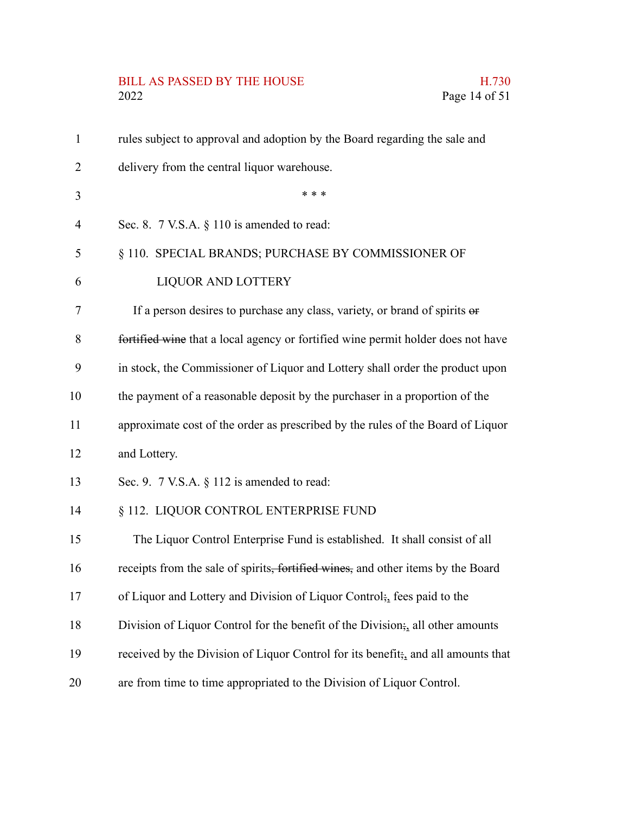# BILL AS PASSED BY THE HOUSE H.730<br>2022 Page 14 of 51

| $\mathbf{1}$   | rules subject to approval and adoption by the Board regarding the sale and                     |
|----------------|------------------------------------------------------------------------------------------------|
| $\overline{2}$ | delivery from the central liquor warehouse.                                                    |
| 3              | * * *                                                                                          |
| $\overline{4}$ | Sec. 8. $7$ V.S.A. $\S$ 110 is amended to read:                                                |
| 5              | § 110. SPECIAL BRANDS; PURCHASE BY COMMISSIONER OF                                             |
| 6              | <b>LIQUOR AND LOTTERY</b>                                                                      |
| 7              | If a person desires to purchase any class, variety, or brand of spirits or                     |
| 8              | fortified wine that a local agency or fortified wine permit holder does not have               |
| 9              | in stock, the Commissioner of Liquor and Lottery shall order the product upon                  |
| 10             | the payment of a reasonable deposit by the purchaser in a proportion of the                    |
| 11             | approximate cost of the order as prescribed by the rules of the Board of Liquor                |
| 12             | and Lottery.                                                                                   |
| 13             | Sec. 9. 7 V.S.A. § 112 is amended to read:                                                     |
| 14             | § 112. LIQUOR CONTROL ENTERPRISE FUND                                                          |
| 15             | The Liquor Control Enterprise Fund is established. It shall consist of all                     |
| 16             | receipts from the sale of spirits, fortified wines, and other items by the Board               |
| 17             | of Liquor and Lottery and Division of Liquor Control; fees paid to the                         |
| 18             | Division of Liquor Control for the benefit of the Division; all other amounts                  |
| 19             | received by the Division of Liquor Control for its benefit <sub>5</sub> , and all amounts that |
| 20             | are from time to time appropriated to the Division of Liquor Control.                          |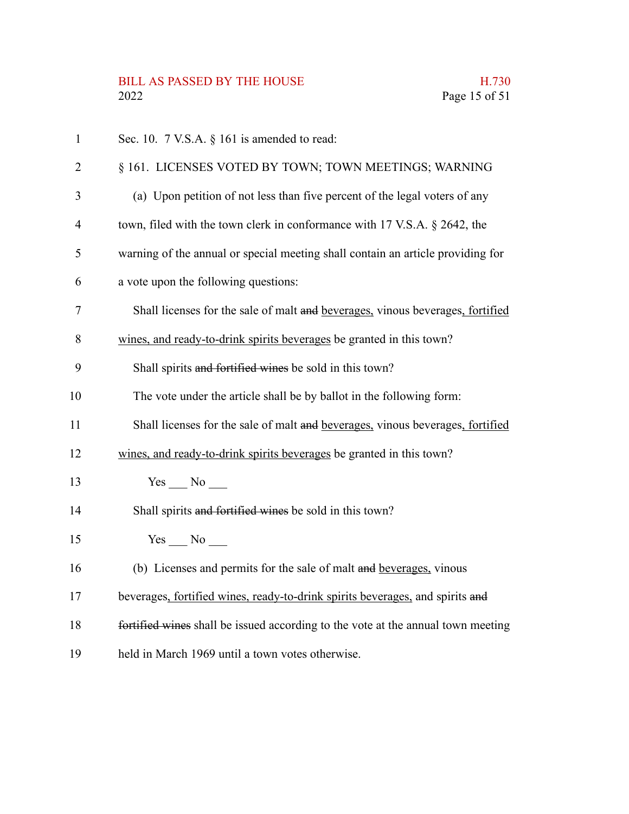| $\mathbf{1}$   | Sec. 10. $7$ V.S.A. $\S$ 161 is amended to read:                                 |
|----------------|----------------------------------------------------------------------------------|
| $\overline{2}$ | § 161. LICENSES VOTED BY TOWN; TOWN MEETINGS; WARNING                            |
| 3              | (a) Upon petition of not less than five percent of the legal voters of any       |
| 4              | town, filed with the town clerk in conformance with 17 V.S.A. § 2642, the        |
| 5              | warning of the annual or special meeting shall contain an article providing for  |
| 6              | a vote upon the following questions:                                             |
| 7              | Shall licenses for the sale of malt and beverages, vinous beverages, fortified   |
| 8              | wines, and ready-to-drink spirits beverages be granted in this town?             |
| 9              | Shall spirits and fortified wines be sold in this town?                          |
| 10             | The vote under the article shall be by ballot in the following form:             |
| 11             | Shall licenses for the sale of malt and beverages, vinous beverages, fortified   |
| 12             | wines, and ready-to-drink spirits beverages be granted in this town?             |
| 13             | Yes No                                                                           |
| 14             | Shall spirits and fortified wines be sold in this town?                          |
| 15             | $Yes$ No $\qquad$                                                                |
| 16             | (b) Licenses and permits for the sale of malt and beverages, vinous              |
| 17             | beverages, fortified wines, ready-to-drink spirits beverages, and spirits and    |
| 18             | fortified wines shall be issued according to the vote at the annual town meeting |
| 19             | held in March 1969 until a town votes otherwise.                                 |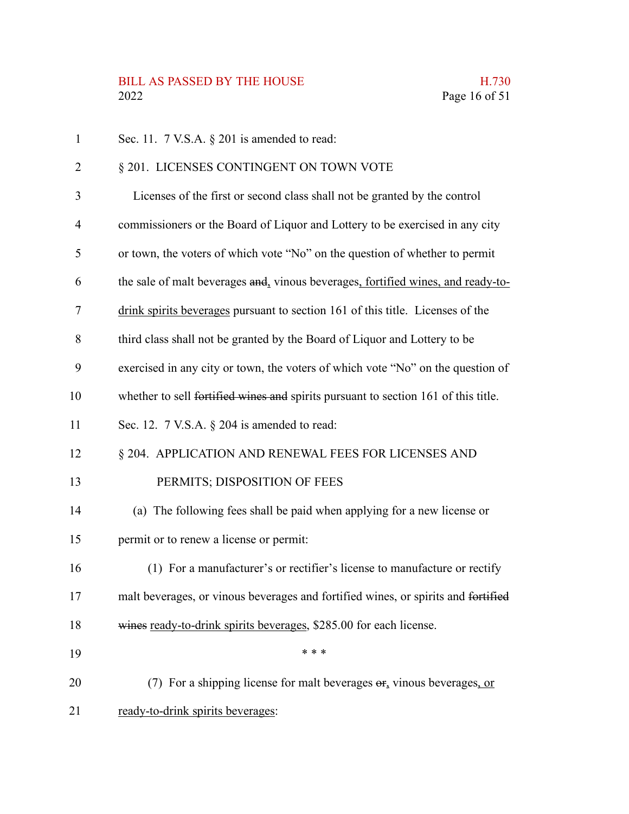| 1  | Sec. 11. $7$ V.S.A. $\S$ 201 is amended to read:                                         |
|----|------------------------------------------------------------------------------------------|
| 2  | § 201. LICENSES CONTINGENT ON TOWN VOTE                                                  |
| 3  | Licenses of the first or second class shall not be granted by the control                |
| 4  | commissioners or the Board of Liquor and Lottery to be exercised in any city             |
| 5  | or town, the voters of which vote "No" on the question of whether to permit              |
| 6  | the sale of malt beverages and, vinous beverages, fortified wines, and ready-to-         |
| 7  | drink spirits beverages pursuant to section 161 of this title. Licenses of the           |
| 8  | third class shall not be granted by the Board of Liquor and Lottery to be                |
| 9  | exercised in any city or town, the voters of which vote "No" on the question of          |
| 10 | whether to sell fortified wines and spirits pursuant to section 161 of this title.       |
| 11 | Sec. 12. 7 V.S.A. § 204 is amended to read:                                              |
| 12 | § 204. APPLICATION AND RENEWAL FEES FOR LICENSES AND                                     |
| 13 | PERMITS; DISPOSITION OF FEES                                                             |
| 14 | (a) The following fees shall be paid when applying for a new license or                  |
| 15 | permit or to renew a license or permit:                                                  |
| 16 | (1) For a manufacturer's or rectifier's license to manufacture or rectify                |
| 17 | malt beverages, or vinous beverages and fortified wines, or spirits and fortified        |
| 18 | wines ready-to-drink spirits beverages, \$285.00 for each license.                       |
| 19 | * * *                                                                                    |
| 20 | (7) For a shipping license for malt beverages $\Theta$ <sub>r</sub> vinous beverages, or |
| 21 | ready-to-drink spirits beverages:                                                        |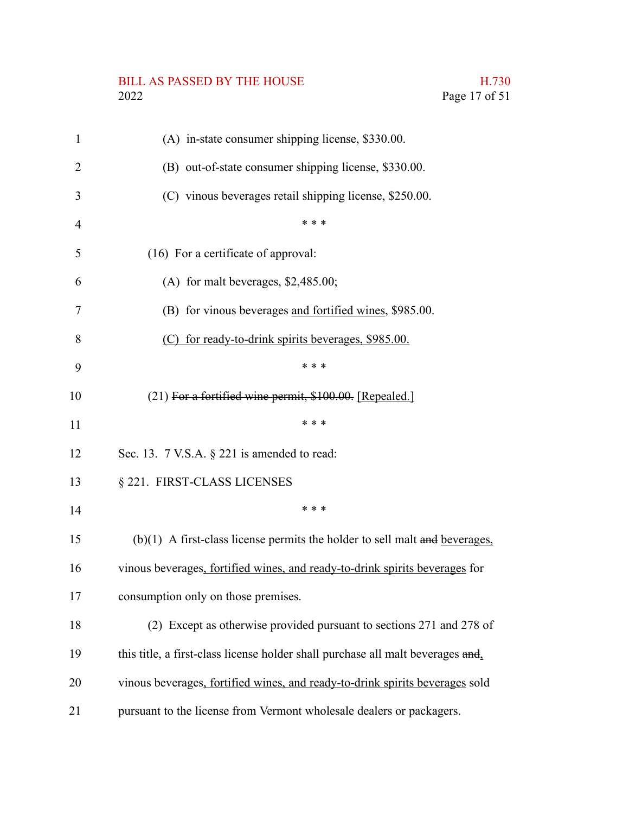# BILL AS PASSED BY THE HOUSE H.730<br>2022 Page 17 of 51

| 1              | (A) in-state consumer shipping license, \$330.00.                               |
|----------------|---------------------------------------------------------------------------------|
| $\overline{2}$ | (B) out-of-state consumer shipping license, \$330.00.                           |
| 3              | (C) vinous beverages retail shipping license, \$250.00.                         |
| $\overline{4}$ | * * *                                                                           |
| 5              | (16) For a certificate of approval:                                             |
| 6              | (A) for malt beverages, $$2,485.00;$                                            |
| 7              | (B) for vinous beverages and fortified wines, \$985.00.                         |
| 8              | (C) for ready-to-drink spirits beverages, \$985.00.                             |
| 9              | * * *                                                                           |
| 10             | (21) For a fortified wine permit, \$100.00. [Repealed.]                         |
| 11             | * * *                                                                           |
| 12             | Sec. 13. $7$ V.S.A. $\S$ 221 is amended to read:                                |
| 13             | § 221. FIRST-CLASS LICENSES                                                     |
| 14             | * * *                                                                           |
| 15             | $(b)(1)$ A first-class license permits the holder to sell malt and beverages,   |
| 16             | vinous beverages, fortified wines, and ready-to-drink spirits beverages for     |
| 17             | consumption only on those premises.                                             |
| 18             | (2) Except as otherwise provided pursuant to sections 271 and 278 of            |
| 19             | this title, a first-class license holder shall purchase all malt beverages and, |
| 20             | vinous beverages, fortified wines, and ready-to-drink spirits beverages sold    |
| 21             | pursuant to the license from Vermont wholesale dealers or packagers.            |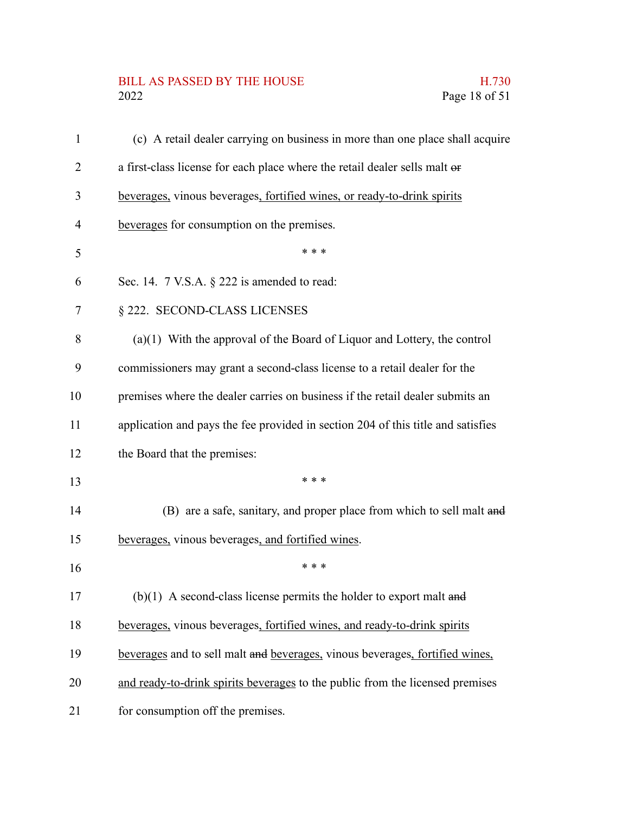## BILL AS PASSED BY THE HOUSE H.730<br>2022 Page 18 of 51

| $\mathbf{1}$   | (c) A retail dealer carrying on business in more than one place shall acquire    |
|----------------|----------------------------------------------------------------------------------|
| 2              | a first-class license for each place where the retail dealer sells malt or       |
| 3              | beverages, vinous beverages, fortified wines, or ready-to-drink spirits          |
| $\overline{4}$ | beverages for consumption on the premises.                                       |
| 5              | * * *                                                                            |
| 6              | Sec. 14. 7 V.S.A. § 222 is amended to read:                                      |
| 7              | § 222. SECOND-CLASS LICENSES                                                     |
| 8              | $(a)(1)$ With the approval of the Board of Liquor and Lottery, the control       |
| 9              | commissioners may grant a second-class license to a retail dealer for the        |
| 10             | premises where the dealer carries on business if the retail dealer submits an    |
| 11             | application and pays the fee provided in section 204 of this title and satisfies |
| 12             | the Board that the premises:                                                     |
| 13             | * * *                                                                            |
| 14             | (B) are a safe, sanitary, and proper place from which to sell malt and           |
| 15             | beverages, vinous beverages, and fortified wines.                                |
| 16             | * * *                                                                            |
| 17             | $(b)(1)$ A second-class license permits the holder to export malt and            |
| 18             | beverages, vinous beverages, fortified wines, and ready-to-drink spirits         |
| 19             | beverages and to sell malt and beverages, vinous beverages, fortified wines,     |
| 20             | and ready-to-drink spirits beverages to the public from the licensed premises    |
| 21             | for consumption off the premises.                                                |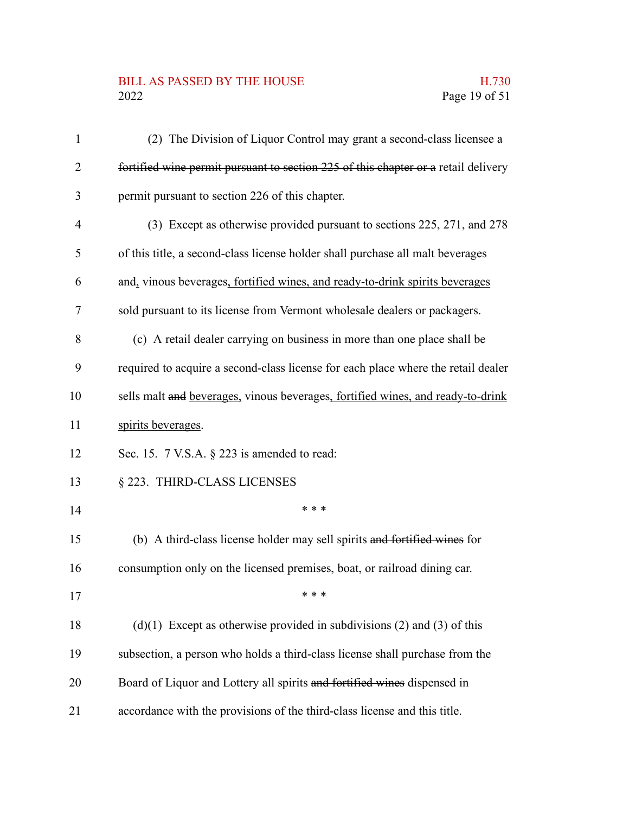#### BILL AS PASSED BY THE HOUSE H.730<br>2022 Page 19 of 51

| $\mathbf{1}$   | (2) The Division of Liquor Control may grant a second-class licensee a             |
|----------------|------------------------------------------------------------------------------------|
| $\overline{2}$ | fortified wine permit pursuant to section 225 of this chapter or a retail delivery |
| 3              | permit pursuant to section 226 of this chapter.                                    |
| 4              | (3) Except as otherwise provided pursuant to sections 225, 271, and 278            |
| 5              | of this title, a second-class license holder shall purchase all malt beverages     |
| 6              | and, vinous beverages, fortified wines, and ready-to-drink spirits beverages       |
| 7              | sold pursuant to its license from Vermont wholesale dealers or packagers.          |
| 8              | (c) A retail dealer carrying on business in more than one place shall be           |
| 9              | required to acquire a second-class license for each place where the retail dealer  |
| 10             | sells malt and beverages, vinous beverages, fortified wines, and ready-to-drink    |
| 11             | spirits beverages.                                                                 |
| 12             | Sec. 15. 7 V.S.A. § 223 is amended to read:                                        |
| 13             | § 223. THIRD-CLASS LICENSES                                                        |
| 14             | * * *                                                                              |
| 15             | (b) A third-class license holder may sell spirits and fortified wines for          |
| 16             | consumption only on the licensed premises, boat, or railroad dining car.           |
| 17             | * * *                                                                              |
| 18             | $(d)(1)$ Except as otherwise provided in subdivisions (2) and (3) of this          |
| 19             | subsection, a person who holds a third-class license shall purchase from the       |
| 20             | Board of Liquor and Lottery all spirits and fortified wines dispensed in           |
| 21             | accordance with the provisions of the third-class license and this title.          |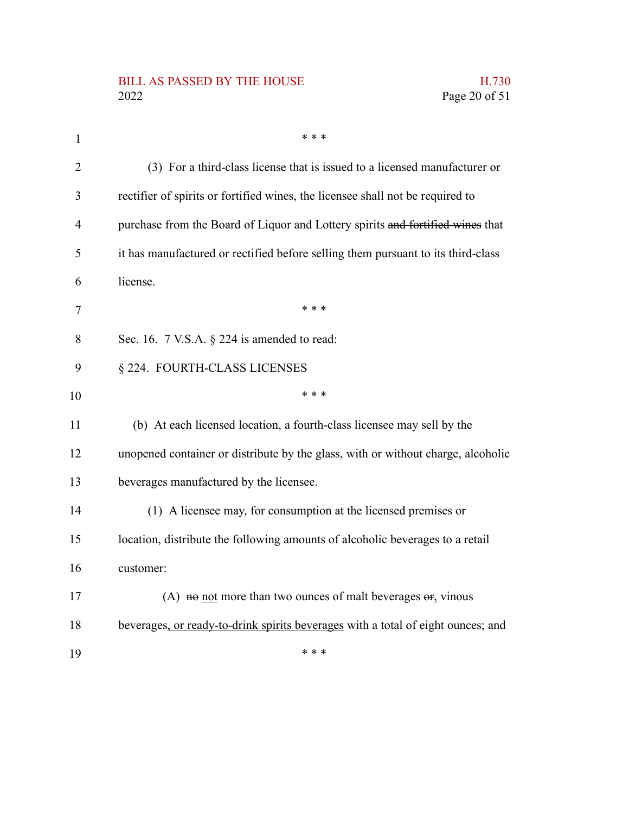### BILL AS PASSED BY THE HOUSE H.730<br>2022 Page 20 of 51

| $\mathbf{1}$   | * * *                                                                            |
|----------------|----------------------------------------------------------------------------------|
| $\overline{2}$ | (3) For a third-class license that is issued to a licensed manufacturer or       |
| 3              | rectifier of spirits or fortified wines, the licensee shall not be required to   |
| 4              | purchase from the Board of Liquor and Lottery spirits and fortified wines that   |
| 5              | it has manufactured or rectified before selling them pursuant to its third-class |
| 6              | license.                                                                         |
| 7              | * * *                                                                            |
| 8              | Sec. 16. $7$ V.S.A. $\S$ 224 is amended to read:                                 |
| 9              | § 224. FOURTH-CLASS LICENSES                                                     |
| 10             | * * *                                                                            |
| 11             | (b) At each licensed location, a fourth-class licensee may sell by the           |
| 12             | unopened container or distribute by the glass, with or without charge, alcoholic |
| 13             | beverages manufactured by the licensee.                                          |
| 14             | (1) A licensee may, for consumption at the licensed premises or                  |
| 15             | location, distribute the following amounts of alcoholic beverages to a retail    |
| 16             | customer:                                                                        |
| 17             | (A) not more than two ounces of malt beverages $\sigma_{f}$ vinous               |
| 18             | beverages, or ready-to-drink spirits beverages with a total of eight ounces; and |
| 19             | * * *                                                                            |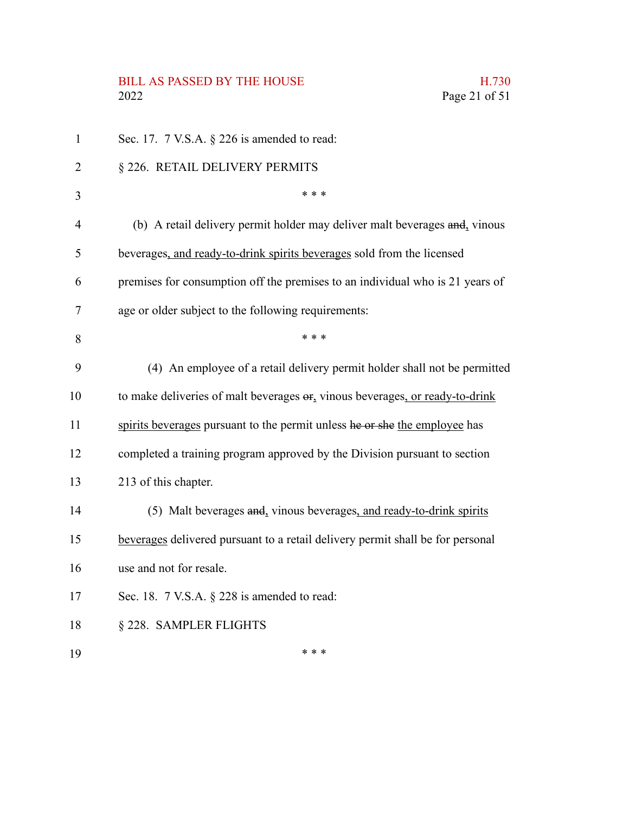# BILL AS PASSED BY THE HOUSE H.730<br>2022 Page 21 of 51

| $\mathbf{1}$   | Sec. 17. $7$ V.S.A. $\S$ 226 is amended to read:                                |
|----------------|---------------------------------------------------------------------------------|
| $\overline{2}$ | § 226. RETAIL DELIVERY PERMITS                                                  |
| 3              | * * *                                                                           |
| 4              | (b) A retail delivery permit holder may deliver malt beverages and, vinous      |
| 5              | beverages, and ready-to-drink spirits beverages sold from the licensed          |
| 6              | premises for consumption off the premises to an individual who is 21 years of   |
| 7              | age or older subject to the following requirements:                             |
| 8              | * * *                                                                           |
| 9              | (4) An employee of a retail delivery permit holder shall not be permitted       |
| 10             | to make deliveries of malt beverages $er_1$ vinous beverages, or ready-to-drink |
| 11             | spirits beverages pursuant to the permit unless he or she the employee has      |
| 12             | completed a training program approved by the Division pursuant to section       |
| 13             | 213 of this chapter.                                                            |
| 14             | (5) Malt beverages and, vinous beverages, and ready-to-drink spirits            |
| 15             | beverages delivered pursuant to a retail delivery permit shall be for personal  |
| 16             | use and not for resale.                                                         |
| 17             | Sec. 18. 7 V.S.A. § 228 is amended to read:                                     |
| 18             | § 228. SAMPLER FLIGHTS                                                          |
| 19             | * * *                                                                           |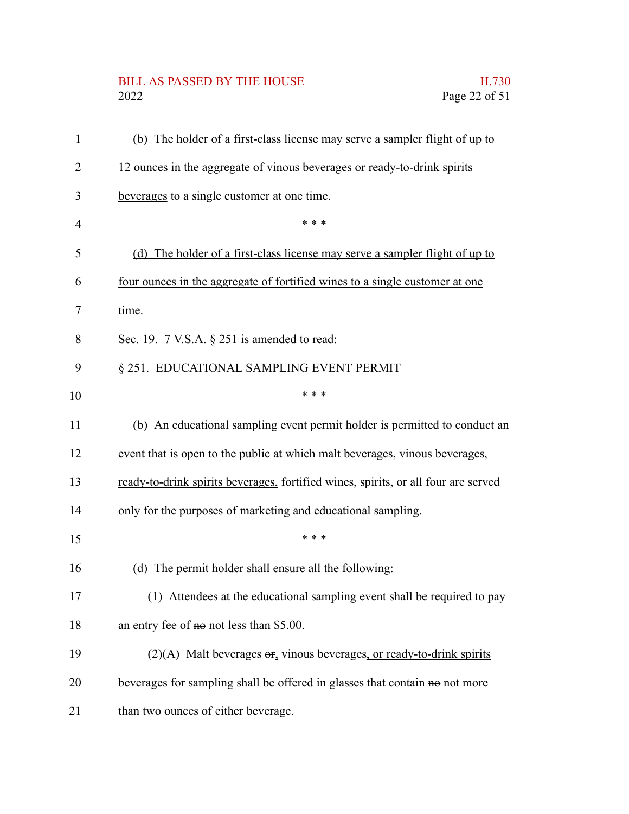# BILL AS PASSED BY THE HOUSE H.730<br>2022 Page 22 of 51

| $\mathbf{1}$ | (b) The holder of a first-class license may serve a sampler flight of up to        |
|--------------|------------------------------------------------------------------------------------|
| 2            | 12 ounces in the aggregate of vinous beverages or ready-to-drink spirits           |
| 3            | beverages to a single customer at one time.                                        |
| 4            | * * *                                                                              |
| 5            | (d) The holder of a first-class license may serve a sampler flight of up to        |
| 6            | four ounces in the aggregate of fortified wines to a single customer at one        |
| 7            | time.                                                                              |
| 8            | Sec. 19. 7 V.S.A. § 251 is amended to read:                                        |
| 9            | § 251. EDUCATIONAL SAMPLING EVENT PERMIT                                           |
| 10           | * * *                                                                              |
| 11           | (b) An educational sampling event permit holder is permitted to conduct an         |
| 12           | event that is open to the public at which malt beverages, vinous beverages,        |
| 13           | ready-to-drink spirits beverages, fortified wines, spirits, or all four are served |
| 14           | only for the purposes of marketing and educational sampling.                       |
| 15           | * * *                                                                              |
| 16           | (d) The permit holder shall ensure all the following:                              |
| 17           | (1) Attendees at the educational sampling event shall be required to pay           |
| 18           | an entry fee of no not less than \$5.00.                                           |
| 19           | $(2)(A)$ Malt beverages $\sigma$ , vinous beverages, or ready-to-drink spirits     |
| 20           | beverages for sampling shall be offered in glasses that contain no not more        |
| 21           | than two ounces of either beverage.                                                |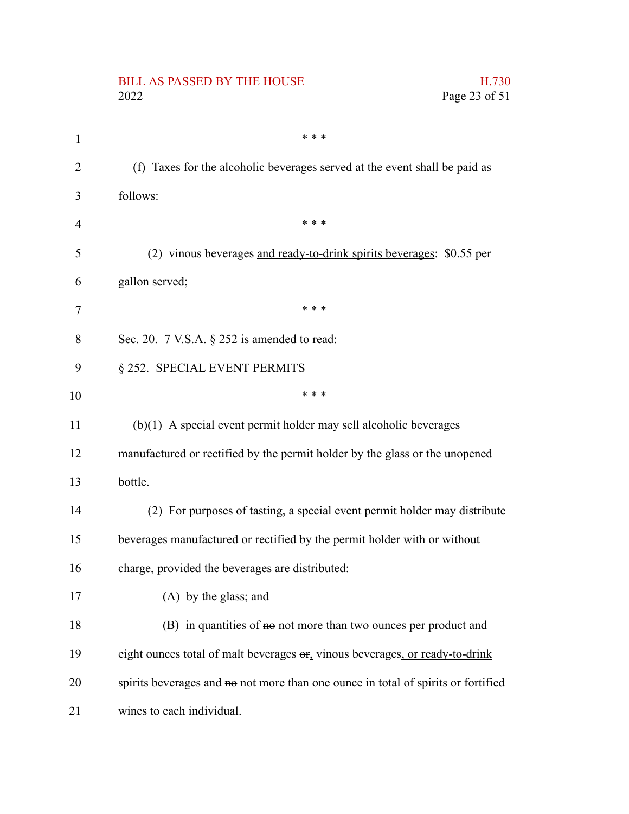|                | <b>BILL AS PASSED BY THE HOUSE</b><br>H.730<br>2022<br>Page 23 of 51              |
|----------------|-----------------------------------------------------------------------------------|
| $\mathbf{1}$   | * * *                                                                             |
| $\overline{2}$ | (f) Taxes for the alcoholic beverages served at the event shall be paid as        |
| 3              | follows:                                                                          |
| 4              | * * *                                                                             |
| 5              | (2) vinous beverages and ready-to-drink spirits beverages: \$0.55 per             |
| 6              | gallon served;                                                                    |
| 7              | * * *                                                                             |
| 8              | Sec. 20. 7 V.S.A. § 252 is amended to read:                                       |
| 9              | § 252. SPECIAL EVENT PERMITS                                                      |
| 10             | * * *                                                                             |
| 11             | $(b)(1)$ A special event permit holder may sell alcoholic beverages               |
| 12             | manufactured or rectified by the permit holder by the glass or the unopened       |
| 13             | bottle.                                                                           |
| 14             | (2) For purposes of tasting, a special event permit holder may distribute         |
| 15             | beverages manufactured or rectified by the permit holder with or without          |
| 16             | charge, provided the beverages are distributed:                                   |
| 17             | (A) by the glass; and                                                             |
| 18             | (B) in quantities of $\theta$ not more than two ounces per product and            |
| 19             | eight ounces total of malt beverages or, vinous beverages, or ready-to-drink      |
| 20             | spirits beverages and no not more than one ounce in total of spirits or fortified |
| 21             | wines to each individual.                                                         |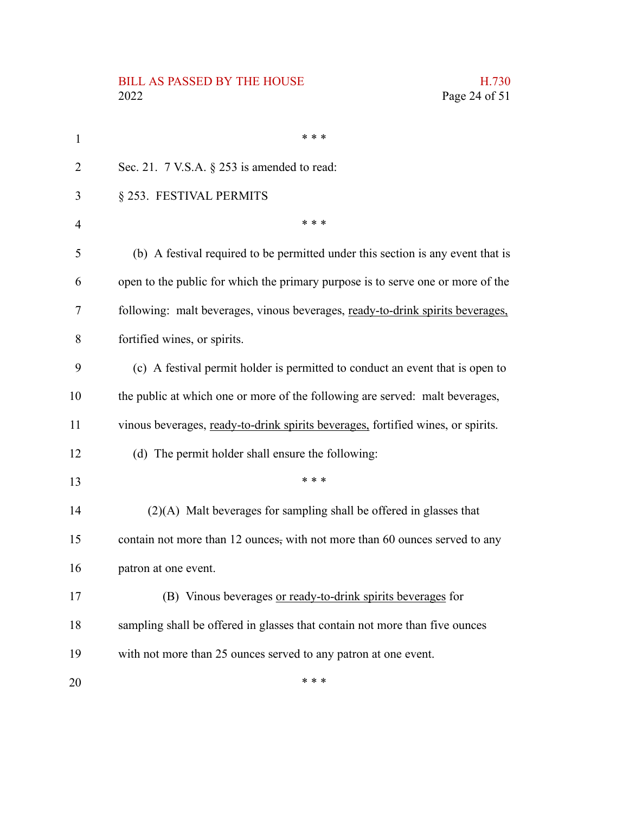## BILL AS PASSED BY THE HOUSE H.730<br>2022 Page 24 of 51

| $\mathbf{1}$ | * * *                                                                            |
|--------------|----------------------------------------------------------------------------------|
| 2            | Sec. 21. $7$ V.S.A. $\S$ 253 is amended to read:                                 |
| 3            | § 253. FESTIVAL PERMITS                                                          |
| 4            | * * *                                                                            |
| 5            | (b) A festival required to be permitted under this section is any event that is  |
| 6            | open to the public for which the primary purpose is to serve one or more of the  |
| 7            | following: malt beverages, vinous beverages, ready-to-drink spirits beverages,   |
| 8            | fortified wines, or spirits.                                                     |
| 9            | (c) A festival permit holder is permitted to conduct an event that is open to    |
| 10           | the public at which one or more of the following are served: malt beverages,     |
| 11           | vinous beverages, ready-to-drink spirits beverages, fortified wines, or spirits. |
| 12           | (d) The permit holder shall ensure the following:                                |
| 13           | * * *                                                                            |
| 14           | $(2)(A)$ Malt beverages for sampling shall be offered in glasses that            |
| 15           | contain not more than 12 ounces, with not more than 60 ounces served to any      |
| 16           | patron at one event.                                                             |
| 17           | (B) Vinous beverages or ready-to-drink spirits beverages for                     |
| 18           | sampling shall be offered in glasses that contain not more than five ounces      |
| 19           | with not more than 25 ounces served to any patron at one event.                  |
| 20           | * * *                                                                            |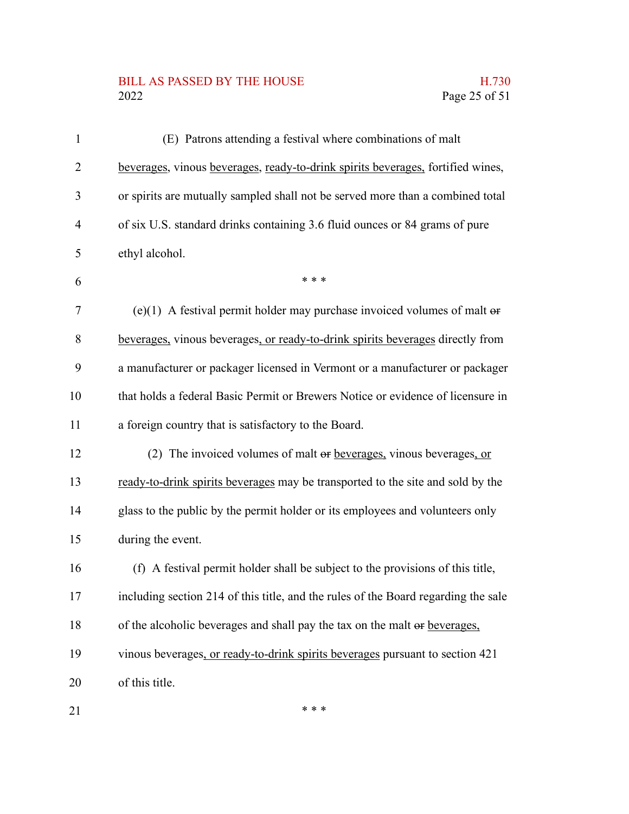## BILL AS PASSED BY THE HOUSE H.730<br>2022 Page 25 of 51

| $\mathbf{1}$ | (E) Patrons attending a festival where combinations of malt                        |
|--------------|------------------------------------------------------------------------------------|
| 2            | beverages, vinous beverages, ready-to-drink spirits beverages, fortified wines,    |
| 3            | or spirits are mutually sampled shall not be served more than a combined total     |
| 4            | of six U.S. standard drinks containing 3.6 fluid ounces or 84 grams of pure        |
| 5            | ethyl alcohol.                                                                     |
| 6            | * * *                                                                              |
| 7            | (e)(1) A festival permit holder may purchase invoiced volumes of malt $\theta$     |
| 8            | beverages, vinous beverages, or ready-to-drink spirits beverages directly from     |
| 9            | a manufacturer or packager licensed in Vermont or a manufacturer or packager       |
| 10           | that holds a federal Basic Permit or Brewers Notice or evidence of licensure in    |
| 11           | a foreign country that is satisfactory to the Board.                               |
| 12           | (2) The invoiced volumes of malt or beverages, vinous beverages, or                |
| 13           | ready-to-drink spirits beverages may be transported to the site and sold by the    |
| 14           | glass to the public by the permit holder or its employees and volunteers only      |
| 15           | during the event.                                                                  |
| 16           | (f) A festival permit holder shall be subject to the provisions of this title,     |
| 17           | including section 214 of this title, and the rules of the Board regarding the sale |
| 18           | of the alcoholic beverages and shall pay the tax on the malt or beverages,         |
| 19           | vinous beverages, or ready-to-drink spirits beverages pursuant to section 421      |
| 20           | of this title.                                                                     |
| 21           | * * *                                                                              |

21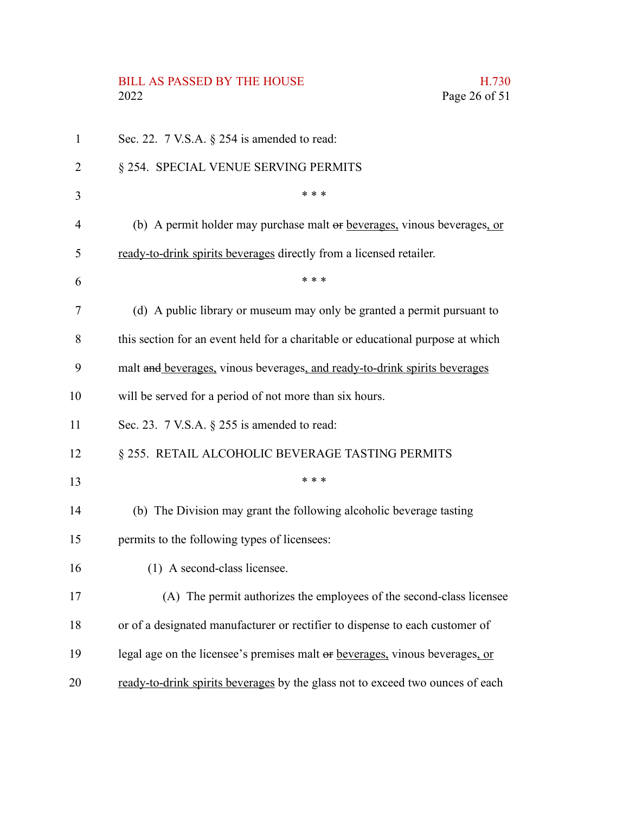# BILL AS PASSED BY THE HOUSE H.730<br>2022 Page 26 of 51

| 1  | Sec. 22. $7$ V.S.A. $\S$ 254 is amended to read:                                 |
|----|----------------------------------------------------------------------------------|
| 2  | § 254. SPECIAL VENUE SERVING PERMITS                                             |
| 3  | * * *                                                                            |
| 4  | (b) A permit holder may purchase malt or <u>beverages</u> , vinous beverages, or |
| 5  | ready-to-drink spirits beverages directly from a licensed retailer.              |
| 6  | * * *                                                                            |
| 7  | (d) A public library or museum may only be granted a permit pursuant to          |
| 8  | this section for an event held for a charitable or educational purpose at which  |
| 9  | malt and beverages, vinous beverages, and ready-to-drink spirits beverages       |
| 10 | will be served for a period of not more than six hours.                          |
| 11 | Sec. 23. $7$ V.S.A. $\S$ 255 is amended to read:                                 |
| 12 | § 255. RETAIL ALCOHOLIC BEVERAGE TASTING PERMITS                                 |
| 13 | * * *                                                                            |
| 14 | (b) The Division may grant the following alcoholic beverage tasting              |
| 15 | permits to the following types of licensees:                                     |
| 16 | (1) A second-class licensee.                                                     |
| 17 | (A) The permit authorizes the employees of the second-class licensee             |
| 18 | or of a designated manufacturer or rectifier to dispense to each customer of     |
| 19 | legal age on the licensee's premises malt or beverages, vinous beverages, or     |
| 20 | ready-to-drink spirits beverages by the glass not to exceed two ounces of each   |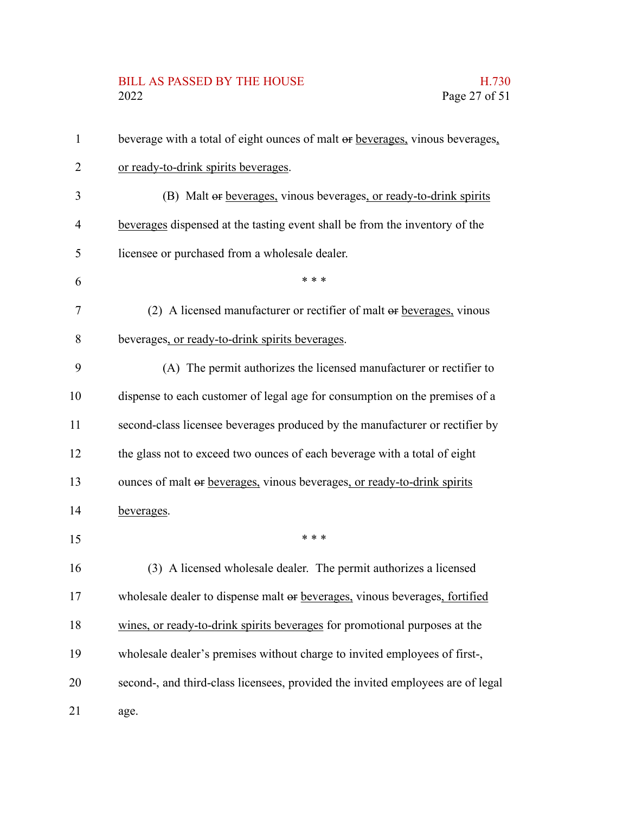## BILL AS PASSED BY THE HOUSE H.730<br>2022 Page 27 of 51

| $\mathbf{1}$ | beverage with a total of eight ounces of malt or beverages, vinous beverages,   |
|--------------|---------------------------------------------------------------------------------|
| 2            | or ready-to-drink spirits beverages.                                            |
| 3            | (B) Malt or beverages, vinous beverages, or ready-to-drink spirits              |
| 4            | beverages dispensed at the tasting event shall be from the inventory of the     |
| 5            | licensee or purchased from a wholesale dealer.                                  |
| 6            | * * *                                                                           |
| 7            | (2) A licensed manufacturer or rectifier of malt or beverages, vinous           |
| 8            | beverages, or ready-to-drink spirits beverages.                                 |
| 9            | (A) The permit authorizes the licensed manufacturer or rectifier to             |
| 10           | dispense to each customer of legal age for consumption on the premises of a     |
| 11           | second-class licensee beverages produced by the manufacturer or rectifier by    |
| 12           | the glass not to exceed two ounces of each beverage with a total of eight       |
| 13           | ounces of malt or beverages, vinous beverages, or ready-to-drink spirits        |
| 14           | beverages.                                                                      |
| 15           | * * *                                                                           |
| 16           | (3) A licensed wholesale dealer. The permit authorizes a licensed               |
| 17           | wholesale dealer to dispense malt or beverages, vinous beverages, fortified     |
| 18           | wines, or ready-to-drink spirits beverages for promotional purposes at the      |
| 19           | wholesale dealer's premises without charge to invited employees of first-,      |
| 20           | second-, and third-class licensees, provided the invited employees are of legal |
| 21           | age.                                                                            |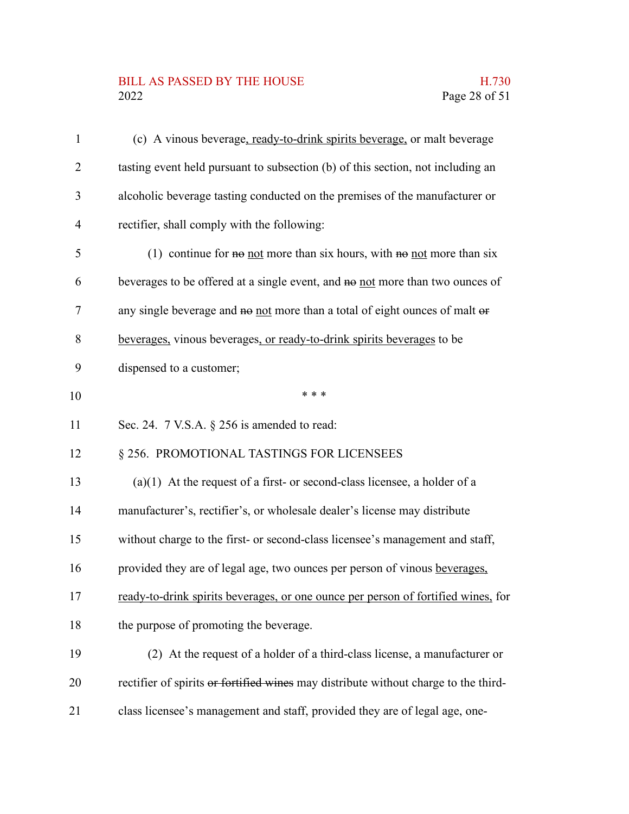# BILL AS PASSED BY THE HOUSE H.730<br>2022 Page 28 of 51

| $\mathbf{1}$ | (c) A vinous beverage, ready-to-drink spirits beverage, or malt beverage            |
|--------------|-------------------------------------------------------------------------------------|
| 2            | tasting event held pursuant to subsection (b) of this section, not including an     |
| 3            | alcoholic beverage tasting conducted on the premises of the manufacturer or         |
| 4            | rectifier, shall comply with the following:                                         |
| 5            | (1) continue for $\theta$ not more than six hours, with $\theta$ not more than six  |
| 6            | beverages to be offered at a single event, and no not more than two ounces of       |
| 7            | any single beverage and no not more than a total of eight ounces of malt or         |
| 8            | beverages, vinous beverages, or ready-to-drink spirits beverages to be              |
| 9            | dispensed to a customer;                                                            |
| 10           | * * *                                                                               |
| 11           | Sec. 24. $7$ V.S.A. $\S$ 256 is amended to read:                                    |
| 12           | § 256. PROMOTIONAL TASTINGS FOR LICENSEES                                           |
| 13           | $(a)(1)$ At the request of a first- or second-class licensee, a holder of a         |
| 14           | manufacturer's, rectifier's, or wholesale dealer's license may distribute           |
| 15           | without charge to the first- or second-class licensee's management and staff,       |
| 16           | provided they are of legal age, two ounces per person of vinous beverages,          |
| 17           | ready-to-drink spirits beverages, or one ounce per person of fortified wines, for   |
| 18           | the purpose of promoting the beverage.                                              |
| 19           | (2) At the request of a holder of a third-class license, a manufacturer or          |
| 20           | rectifier of spirits or fortified wines may distribute without charge to the third- |
| 21           | class licensee's management and staff, provided they are of legal age, one-         |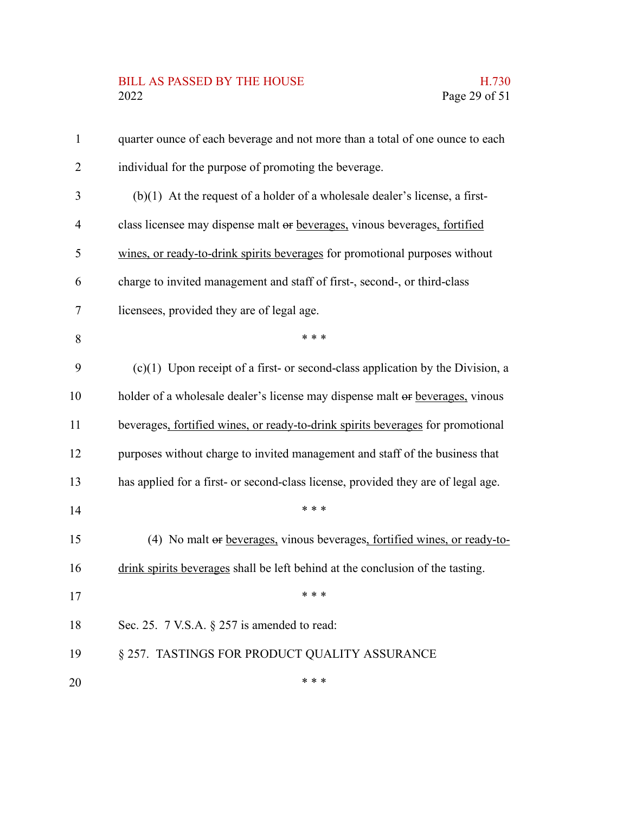## BILL AS PASSED BY THE HOUSE H.730<br>2022 Page 29 of 51

| $\mathbf{1}$   | quarter ounce of each beverage and not more than a total of one ounce to each     |
|----------------|-----------------------------------------------------------------------------------|
| $\overline{2}$ | individual for the purpose of promoting the beverage.                             |
| 3              | $(b)(1)$ At the request of a holder of a wholesale dealer's license, a first-     |
| $\overline{4}$ | class licensee may dispense malt or beverages, vinous beverages, fortified        |
| 5              | wines, or ready-to-drink spirits beverages for promotional purposes without       |
| 6              | charge to invited management and staff of first-, second-, or third-class         |
| 7              | licensees, provided they are of legal age.                                        |
| 8              | * * *                                                                             |
| 9              | $(c)(1)$ Upon receipt of a first- or second-class application by the Division, a  |
| 10             | holder of a wholesale dealer's license may dispense malt or beverages, vinous     |
| 11             | beverages, fortified wines, or ready-to-drink spirits beverages for promotional   |
| 12             | purposes without charge to invited management and staff of the business that      |
| 13             | has applied for a first- or second-class license, provided they are of legal age. |
| 14             | * * *                                                                             |
| 15             | (4) No malt or beverages, vinous beverages, fortified wines, or ready-to-         |
| 16             | drink spirits beverages shall be left behind at the conclusion of the tasting.    |
| 17             | * * *                                                                             |
| 18             | Sec. 25. $7$ V.S.A. $\S$ 257 is amended to read:                                  |
| 19             | § 257. TASTINGS FOR PRODUCT QUALITY ASSURANCE                                     |
| 20             | * * *                                                                             |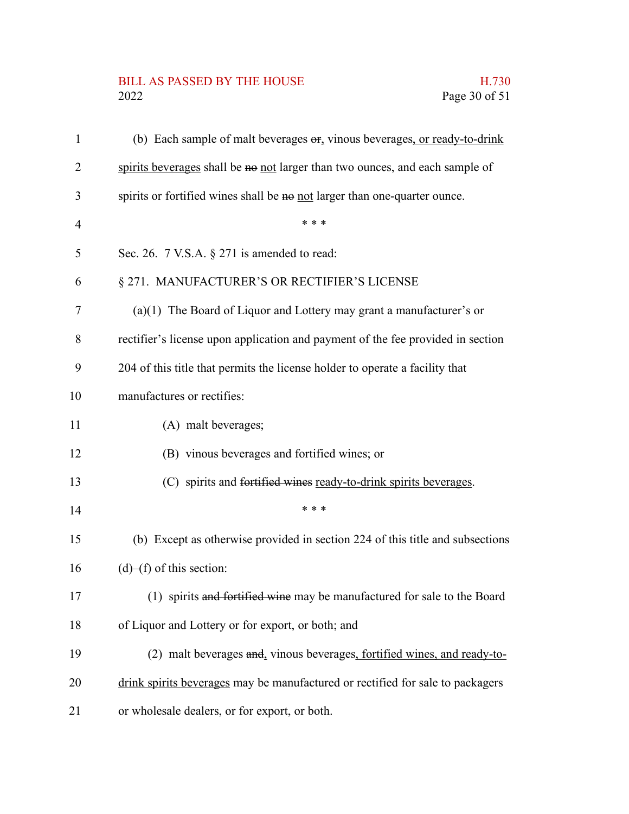# BILL AS PASSED BY THE HOUSE H.730<br>2022 Page 30 of 51

| $\mathbf{1}$   | (b) Each sample of malt beverages $\Theta$ <sub>r</sub> vinous beverages, or ready-to-drink |
|----------------|---------------------------------------------------------------------------------------------|
| 2              | spirits beverages shall be no not larger than two ounces, and each sample of                |
| 3              | spirits or fortified wines shall be no not larger than one-quarter ounce.                   |
| $\overline{4}$ | * * *                                                                                       |
| 5              | Sec. 26. $7$ V.S.A. $\S 271$ is amended to read:                                            |
| 6              | § 271. MANUFACTURER'S OR RECTIFIER'S LICENSE                                                |
| 7              | $(a)(1)$ The Board of Liquor and Lottery may grant a manufacturer's or                      |
| 8              | rectifier's license upon application and payment of the fee provided in section             |
| 9              | 204 of this title that permits the license holder to operate a facility that                |
| 10             | manufactures or rectifies:                                                                  |
| 11             | (A) malt beverages;                                                                         |
| 12             | (B) vinous beverages and fortified wines; or                                                |
| 13             | (C) spirits and fortified wines ready-to-drink spirits beverages.                           |
| 14             | * * *                                                                                       |
| 15             | (b) Except as otherwise provided in section 224 of this title and subsections               |
| 16             | $(d)$ – $(f)$ of this section:                                                              |
| 17             | (1) spirits and fortified wine may be manufactured for sale to the Board                    |
| 18             | of Liquor and Lottery or for export, or both; and                                           |
| 19             | (2) malt beverages and, vinous beverages, fortified wines, and ready-to-                    |
| 20             | drink spirits beverages may be manufactured or rectified for sale to packagers              |
| 21             | or wholesale dealers, or for export, or both.                                               |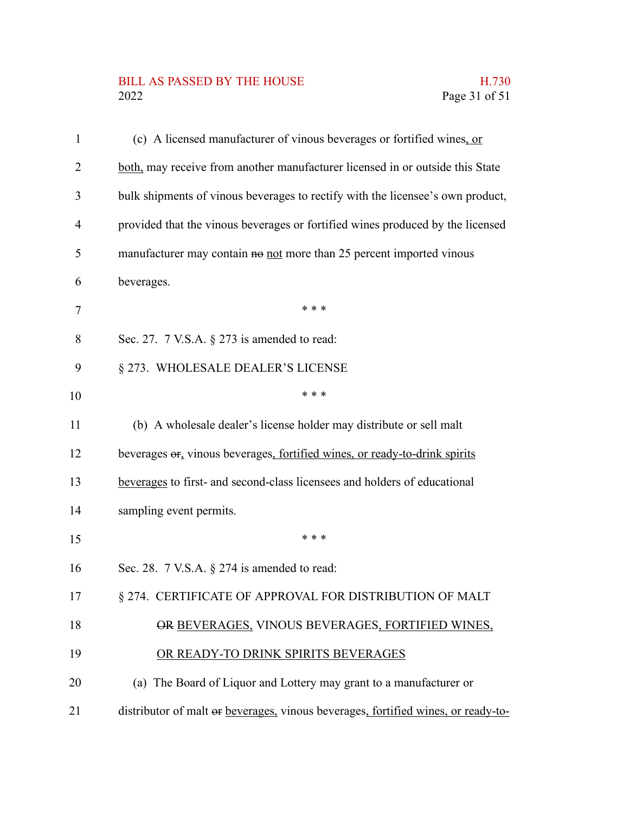## BILL AS PASSED BY THE HOUSE H.730<br>2022 Page 31 of 51

| $\mathbf{1}$ | (c) A licensed manufacturer of vinous beverages or fortified wines, or            |
|--------------|-----------------------------------------------------------------------------------|
| 2            | both, may receive from another manufacturer licensed in or outside this State     |
| 3            | bulk shipments of vinous beverages to rectify with the licensee's own product,    |
| 4            | provided that the vinous beverages or fortified wines produced by the licensed    |
| 5            | manufacturer may contain no not more than 25 percent imported vinous              |
| 6            | beverages.                                                                        |
| 7            | * * *                                                                             |
| 8            | Sec. 27. $7$ V.S.A. $\S$ 273 is amended to read:                                  |
| 9            | § 273. WHOLESALE DEALER'S LICENSE                                                 |
| 10           | * * *                                                                             |
| 11           | (b) A wholesale dealer's license holder may distribute or sell malt               |
| 12           | beverages or, vinous beverages, fortified wines, or ready-to-drink spirits        |
| 13           | beverages to first- and second-class licensees and holders of educational         |
| 14           | sampling event permits.                                                           |
| 15           | * * *                                                                             |
| 16           | Sec. 28. $7$ V.S.A. $\S$ 274 is amended to read:                                  |
| 17           | § 274. CERTIFICATE OF APPROVAL FOR DISTRIBUTION OF MALT                           |
| 18           | OR BEVERAGES, VINOUS BEVERAGES, FORTIFIED WINES,                                  |
| 19           | OR READY-TO DRINK SPIRITS BEVERAGES                                               |
| 20           | (a) The Board of Liquor and Lottery may grant to a manufacturer or                |
| 21           | distributor of malt or beverages, vinous beverages, fortified wines, or ready-to- |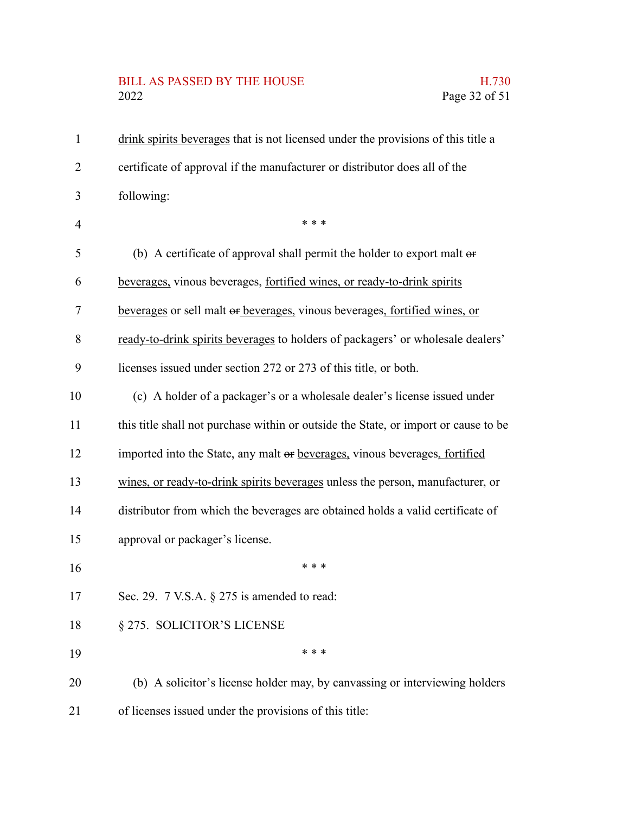# BILL AS PASSED BY THE HOUSE H.730<br>2022 Page 32 of 51

| $\mathbf{1}$   | drink spirits beverages that is not licensed under the provisions of this title a   |
|----------------|-------------------------------------------------------------------------------------|
| $\overline{2}$ | certificate of approval if the manufacturer or distributor does all of the          |
| 3              | following:                                                                          |
| $\overline{4}$ | * * *                                                                               |
| 5              | (b) A certificate of approval shall permit the holder to export malt or             |
| 6              | beverages, vinous beverages, fortified wines, or ready-to-drink spirits             |
| $\tau$         | beverages or sell malt or beverages, vinous beverages, fortified wines, or          |
| $\, 8$         | ready-to-drink spirits beverages to holders of packagers' or wholesale dealers'     |
| 9              | licenses issued under section 272 or 273 of this title, or both.                    |
| 10             | (c) A holder of a packager's or a wholesale dealer's license issued under           |
| 11             | this title shall not purchase within or outside the State, or import or cause to be |
| 12             | imported into the State, any malt or beverages, vinous beverages, fortified         |
| 13             | wines, or ready-to-drink spirits beverages unless the person, manufacturer, or      |
| 14             | distributor from which the beverages are obtained holds a valid certificate of      |
| 15             | approval or packager's license.                                                     |
| 16             | * * *                                                                               |
| 17             | Sec. 29. $7$ V.S.A. $\S 275$ is amended to read:                                    |
| 18             | § 275. SOLICITOR'S LICENSE                                                          |
| 19             | * * *                                                                               |
| 20             | (b) A solicitor's license holder may, by canvassing or interviewing holders         |
| 21             | of licenses issued under the provisions of this title:                              |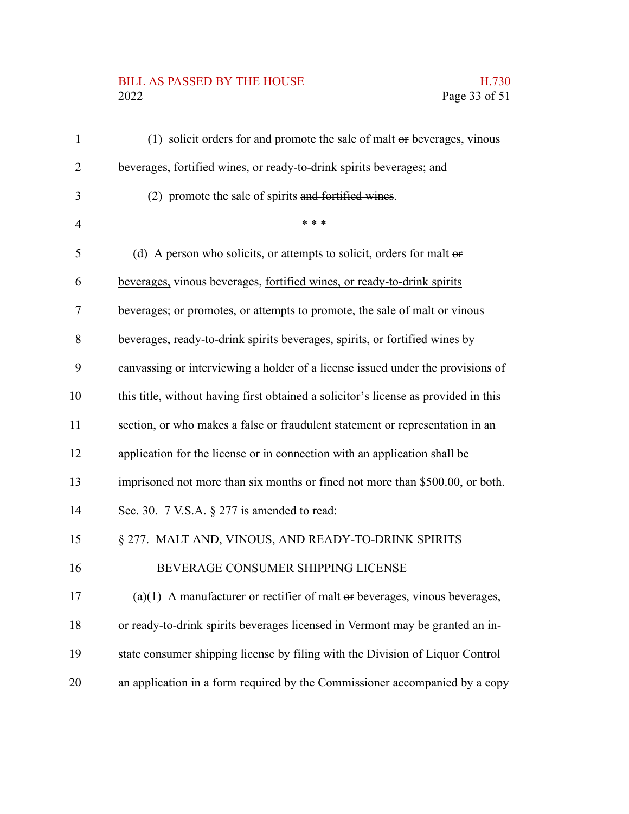## BILL AS PASSED BY THE HOUSE H.730<br>2022 Page 33 of 51

| $\mathbf{1}$   | (1) solicit orders for and promote the sale of malt or beverages, vinous            |
|----------------|-------------------------------------------------------------------------------------|
| $\overline{2}$ | beverages, fortified wines, or ready-to-drink spirits beverages; and                |
| 3              | (2) promote the sale of spirits and fortified wines.                                |
| $\overline{4}$ | * * *                                                                               |
| 5              | (d) A person who solicits, or attempts to solicit, orders for malt $\theta$         |
| 6              | beverages, vinous beverages, fortified wines, or ready-to-drink spirits             |
| 7              | beverages; or promotes, or attempts to promote, the sale of malt or vinous          |
| 8              | beverages, ready-to-drink spirits beverages, spirits, or fortified wines by         |
| 9              | canvassing or interviewing a holder of a license issued under the provisions of     |
| 10             | this title, without having first obtained a solicitor's license as provided in this |
| 11             | section, or who makes a false or fraudulent statement or representation in an       |
| 12             | application for the license or in connection with an application shall be           |
| 13             | imprisoned not more than six months or fined not more than \$500.00, or both.       |
| 14             | Sec. 30. $7$ V.S.A. $\S 277$ is amended to read:                                    |
| 15             | § 277. MALT AND, VINOUS, AND READY-TO-DRINK SPIRITS                                 |
| 16             | BEVERAGE CONSUMER SHIPPING LICENSE                                                  |
| 17             | (a)(1) A manufacturer or rectifier of malt $\Theta$ r beverages, vinous beverages,  |
| 18             | or ready-to-drink spirits beverages licensed in Vermont may be granted an in-       |
| 19             | state consumer shipping license by filing with the Division of Liquor Control       |
| 20             | an application in a form required by the Commissioner accompanied by a copy         |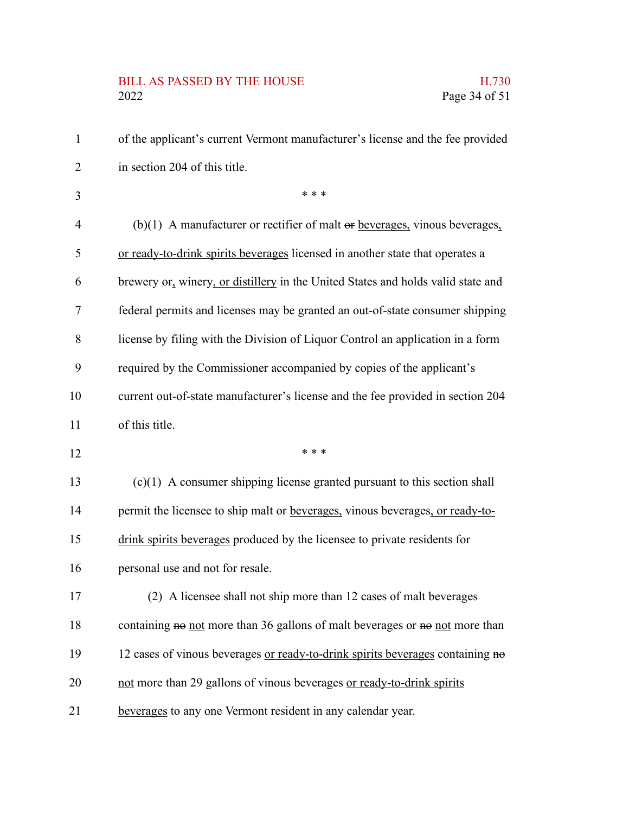## BILL AS PASSED BY THE HOUSE H.730<br>2022 Page 34 of 51

| 1              | of the applicant's current Vermont manufacturer's license and the fee provided                     |
|----------------|----------------------------------------------------------------------------------------------------|
| 2              | in section 204 of this title.                                                                      |
| 3              | * * *                                                                                              |
| $\overline{4}$ | (b)(1) A manufacturer or rectifier of malt $\Theta$ reformation beverages,                         |
| 5              | or ready-to-drink spirits beverages licensed in another state that operates a                      |
| 6              | brewery $\Theta$ <sub>r</sub> winery, or distillery in the United States and holds valid state and |
| 7              | federal permits and licenses may be granted an out-of-state consumer shipping                      |
| 8              | license by filing with the Division of Liquor Control an application in a form                     |
| 9              | required by the Commissioner accompanied by copies of the applicant's                              |
| 10             | current out-of-state manufacturer's license and the fee provided in section 204                    |
| 11             | of this title.                                                                                     |
| 12             | * * *                                                                                              |
| 13             | $(c)(1)$ A consumer shipping license granted pursuant to this section shall                        |
| 14             | permit the licensee to ship malt or beverages, vinous beverages, or ready-to-                      |
| 15             | drink spirits beverages produced by the licensee to private residents for                          |
| 16             | personal use and not for resale.                                                                   |
| 17             | (2) A licensee shall not ship more than 12 cases of malt beverages                                 |
| 18             | containing no not more than 36 gallons of malt beverages or no not more than                       |
| 19             | 12 cases of vinous beverages or ready-to-drink spirits beverages containing no                     |
| 20             | not more than 29 gallons of vinous beverages or ready-to-drink spirits                             |
| 21             | beverages to any one Vermont resident in any calendar year.                                        |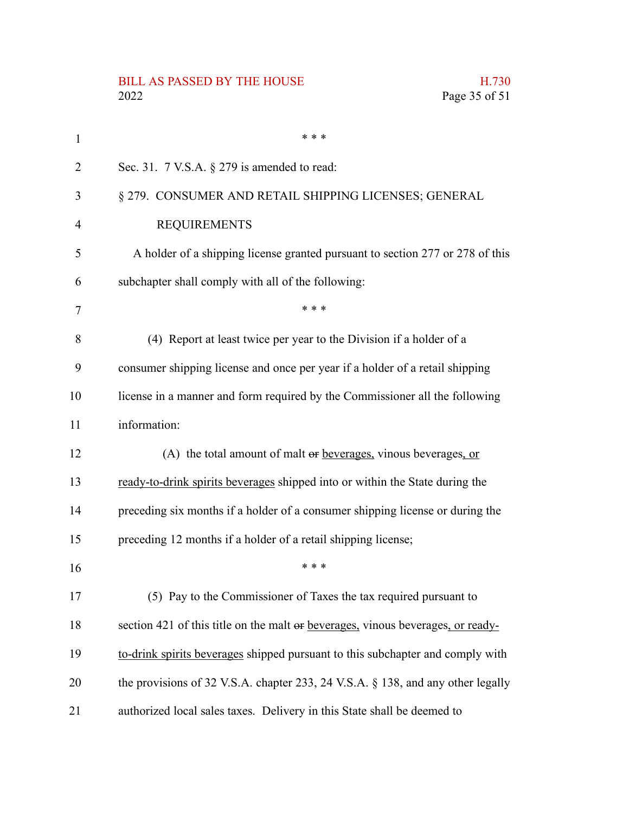# BILL AS PASSED BY THE HOUSE H.730<br>2022 Page 35 of 51

| 1              | * * *                                                                           |
|----------------|---------------------------------------------------------------------------------|
| $\overline{2}$ | Sec. 31. $7$ V.S.A. $\S$ 279 is amended to read:                                |
| 3              | § 279. CONSUMER AND RETAIL SHIPPING LICENSES; GENERAL                           |
| $\overline{4}$ | <b>REQUIREMENTS</b>                                                             |
| 5              | A holder of a shipping license granted pursuant to section 277 or 278 of this   |
| 6              | subchapter shall comply with all of the following:                              |
| 7              | * * *                                                                           |
| 8              | (4) Report at least twice per year to the Division if a holder of a             |
| 9              | consumer shipping license and once per year if a holder of a retail shipping    |
| 10             | license in a manner and form required by the Commissioner all the following     |
| 11             | information:                                                                    |
| 12             | (A) the total amount of malt $\Theta$ beverages, vinous beverages, or           |
| 13             | ready-to-drink spirits beverages shipped into or within the State during the    |
| 14             | preceding six months if a holder of a consumer shipping license or during the   |
| 15             | preceding 12 months if a holder of a retail shipping license;                   |
| 16             | * * *                                                                           |
| 17             | (5) Pay to the Commissioner of Taxes the tax required pursuant to               |
| 18             | section 421 of this title on the malt or beverages, vinous beverages, or ready- |
| 19             | to-drink spirits beverages shipped pursuant to this subchapter and comply with  |
| 20             | the provisions of 32 V.S.A. chapter 233, 24 V.S.A. § 138, and any other legally |
| 21             | authorized local sales taxes. Delivery in this State shall be deemed to         |

Page 35 of 51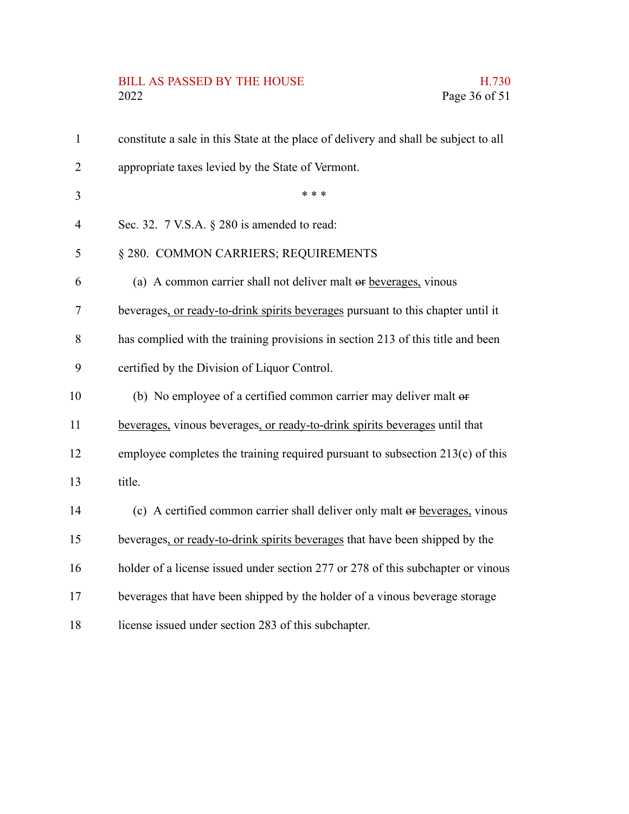# BILL AS PASSED BY THE HOUSE H.730<br>2022 Page 36 of 51

| $\mathbf{1}$   | constitute a sale in this State at the place of delivery and shall be subject to all |
|----------------|--------------------------------------------------------------------------------------|
| $\overline{2}$ | appropriate taxes levied by the State of Vermont.                                    |
| 3              | * * *                                                                                |
| $\overline{4}$ | Sec. 32. 7 V.S.A. § 280 is amended to read:                                          |
| 5              | § 280. COMMON CARRIERS; REQUIREMENTS                                                 |
| 6              | (a) A common carrier shall not deliver malt or beverages, vinous                     |
| $\overline{7}$ | beverages, or ready-to-drink spirits beverages pursuant to this chapter until it     |
| 8              | has complied with the training provisions in section 213 of this title and been      |
| 9              | certified by the Division of Liquor Control.                                         |
| 10             | (b) No employee of a certified common carrier may deliver malt or                    |
| 11             | beverages, vinous beverages, or ready-to-drink spirits beverages until that          |
| 12             | employee completes the training required pursuant to subsection 213(c) of this       |
| 13             | title.                                                                               |
| 14             | (c) A certified common carrier shall deliver only malt or beverages, vinous          |
| 15             | beverages, or ready-to-drink spirits beverages that have been shipped by the         |
| 16             | holder of a license issued under section 277 or 278 of this subchapter or vinous     |
| 17             | beverages that have been shipped by the holder of a vinous beverage storage          |
| 18             | license issued under section 283 of this subchapter.                                 |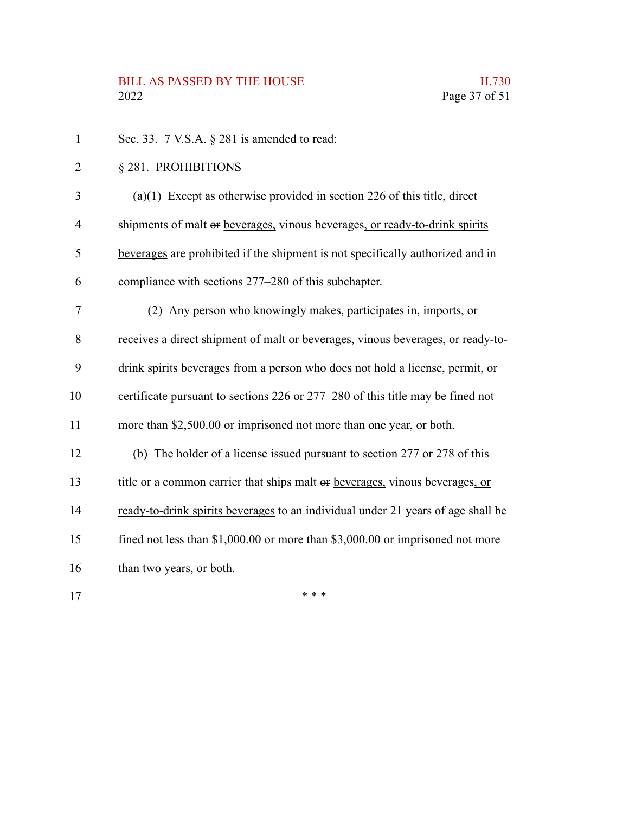Sec. 33. 7 V.S.A.  $\S$  281 is amended to read: § 281. PROHIBITIONS (a)(1) Except as otherwise provided in section 226 of this title, direct shipments of malt or beverages, vinous beverages, or ready-to-drink spirits beverages are prohibited if the shipment is not specifically authorized and in compliance with sections 277–280 of this subchapter. (2) Any person who knowingly makes, participates in, imports, or receives a direct shipment of malt or beverages, vinous beverages, or ready-todrink spirits beverages from a person who does not hold a license, permit, or certificate pursuant to sections 226 or 277–280 of this title may be fined not more than \$2,500.00 or imprisoned not more than one year, or both. (b) The holder of a license issued pursuant to section 277 or 278 of this title or a common carrier that ships malt or beverages, vinous beverages, or ready-to-drink spirits beverages to an individual under 21 years of age shall be fined not less than \$1,000.00 or more than \$3,000.00 or imprisoned not more than two years, or both. \* \* \* 1 2 3 4 5 6 7 8 9 10 11 12 13 14 15 16 17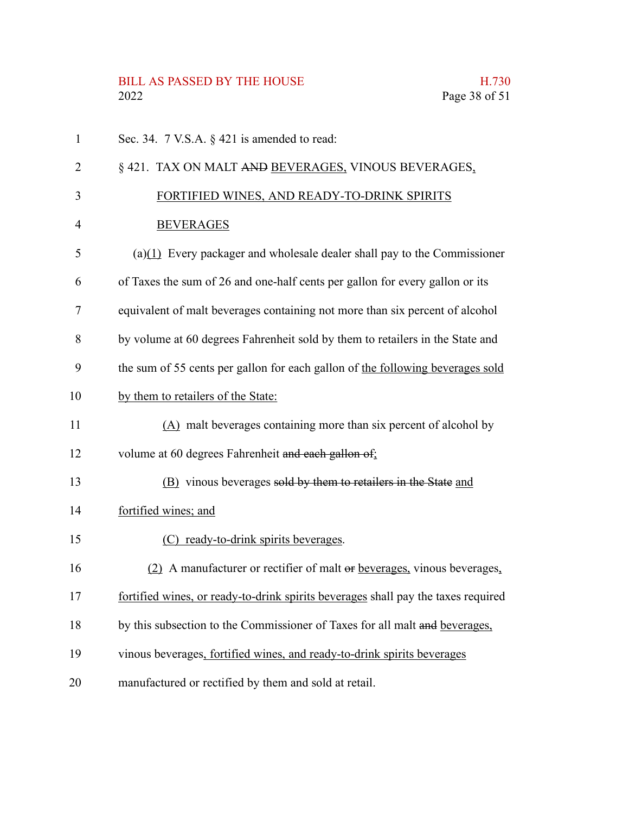# BILL AS PASSED BY THE HOUSE H.730<br>2022 Page 38 of 51

| $\mathbf{1}$ | Sec. 34. $7$ V.S.A. $\S$ 421 is amended to read:                                  |
|--------------|-----------------------------------------------------------------------------------|
| 2            | § 421. TAX ON MALT AND BEVERAGES, VINOUS BEVERAGES,                               |
| 3            | FORTIFIED WINES, AND READY-TO-DRINK SPIRITS                                       |
| 4            | <b>BEVERAGES</b>                                                                  |
| 5            | $(a)(1)$ Every packager and wholesale dealer shall pay to the Commissioner        |
| 6            | of Taxes the sum of 26 and one-half cents per gallon for every gallon or its      |
| 7            | equivalent of malt beverages containing not more than six percent of alcohol      |
| 8            | by volume at 60 degrees Fahrenheit sold by them to retailers in the State and     |
| 9            | the sum of 55 cents per gallon for each gallon of the following beverages sold    |
| 10           | by them to retailers of the State:                                                |
| 11           | $(A)$ malt beverages containing more than six percent of alcohol by               |
| 12           | volume at 60 degrees Fahrenheit and each gallon of;                               |
| 13           | (B) vinous beverages sold by them to retailers in the State and                   |
| 14           | fortified wines; and                                                              |
| 15           | (C) ready-to-drink spirits beverages.                                             |
| 16           | (2) A manufacturer or rectifier of malt or beverages, vinous beverages,           |
| 17           | fortified wines, or ready-to-drink spirits beverages shall pay the taxes required |
| 18           | by this subsection to the Commissioner of Taxes for all malt and beverages,       |
| 19           | vinous beverages, fortified wines, and ready-to-drink spirits beverages           |
| 20           | manufactured or rectified by them and sold at retail.                             |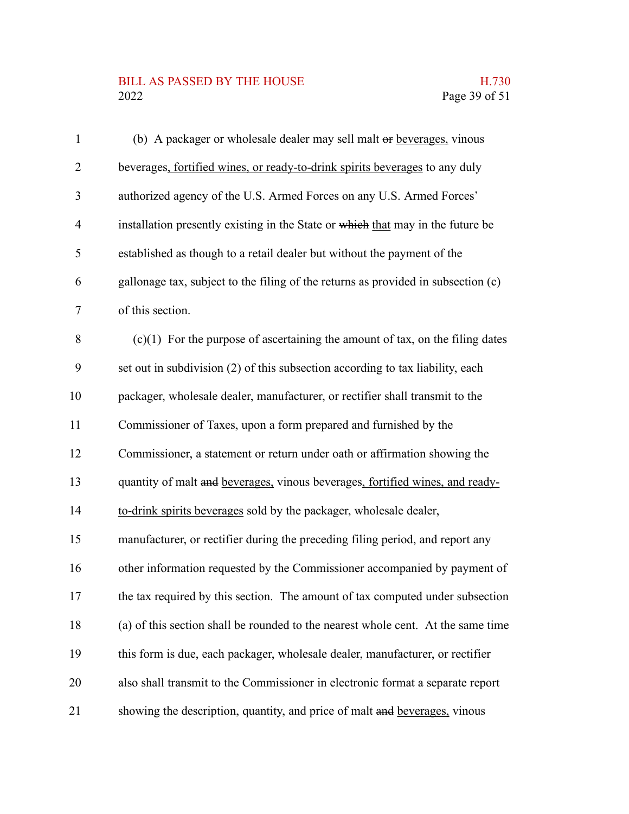## BILL AS PASSED BY THE HOUSE H.730<br>2022 Page 39 of 51

| $\mathbf{1}$   | (b) A packager or wholesale dealer may sell malt or beverages, vinous             |
|----------------|-----------------------------------------------------------------------------------|
| $\overline{2}$ | beverages, fortified wines, or ready-to-drink spirits beverages to any duly       |
| 3              | authorized agency of the U.S. Armed Forces on any U.S. Armed Forces'              |
| $\overline{4}$ | installation presently existing in the State or which that may in the future be   |
| 5              | established as though to a retail dealer but without the payment of the           |
| 6              | gallonage tax, subject to the filing of the returns as provided in subsection (c) |
| 7              | of this section.                                                                  |
| 8              | $(c)(1)$ For the purpose of ascertaining the amount of tax, on the filing dates   |
| 9              | set out in subdivision (2) of this subsection according to tax liability, each    |
| 10             | packager, wholesale dealer, manufacturer, or rectifier shall transmit to the      |
| 11             | Commissioner of Taxes, upon a form prepared and furnished by the                  |
| 12             | Commissioner, a statement or return under oath or affirmation showing the         |
| 13             | quantity of malt and beverages, vinous beverages, fortified wines, and ready-     |
| 14             | to-drink spirits beverages sold by the packager, wholesale dealer,                |
| 15             | manufacturer, or rectifier during the preceding filing period, and report any     |
| 16             | other information requested by the Commissioner accompanied by payment of         |
| 17             | the tax required by this section. The amount of tax computed under subsection     |
| 18             | (a) of this section shall be rounded to the nearest whole cent. At the same time  |
| 19             | this form is due, each packager, wholesale dealer, manufacturer, or rectifier     |
| 20             | also shall transmit to the Commissioner in electronic format a separate report    |
| 21             | showing the description, quantity, and price of malt and beverages, vinous        |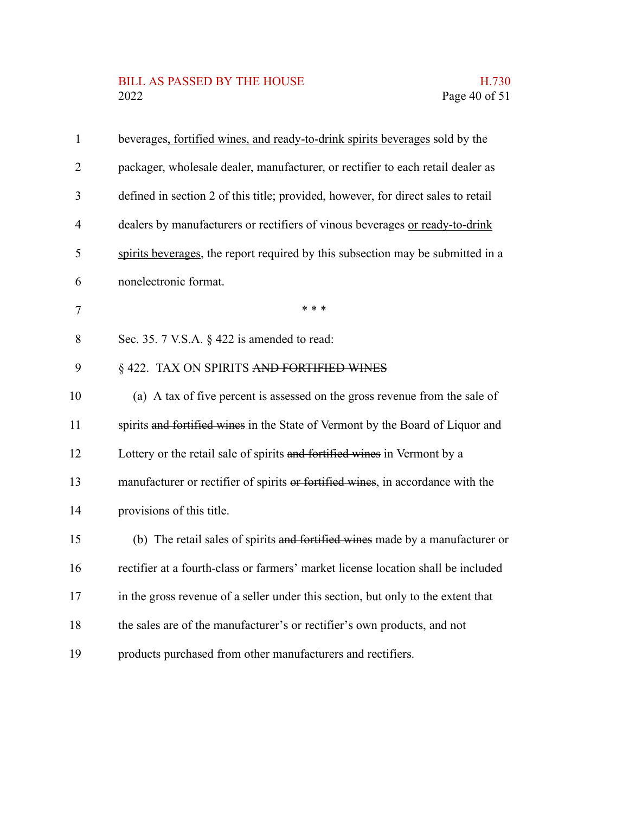## BILL AS PASSED BY THE HOUSE H.730<br>2022 Page 40 of 51

| $\mathbf{1}$   | beverages, fortified wines, and ready-to-drink spirits beverages sold by the      |
|----------------|-----------------------------------------------------------------------------------|
| $\overline{2}$ | packager, wholesale dealer, manufacturer, or rectifier to each retail dealer as   |
| 3              | defined in section 2 of this title; provided, however, for direct sales to retail |
| 4              | dealers by manufacturers or rectifiers of vinous beverages or ready-to-drink      |
| 5              | spirits beverages, the report required by this subsection may be submitted in a   |
| 6              | nonelectronic format.                                                             |
| $\tau$         | * * *                                                                             |
| 8              | Sec. 35. 7 V.S.A. § 422 is amended to read:                                       |
| 9              | § 422. TAX ON SPIRITS AND FORTIFIED WINES                                         |
| 10             | (a) A tax of five percent is assessed on the gross revenue from the sale of       |
| 11             | spirits and fortified wines in the State of Vermont by the Board of Liquor and    |
| 12             | Lottery or the retail sale of spirits and fortified wines in Vermont by a         |
| 13             | manufacturer or rectifier of spirits or fortified wines, in accordance with the   |
| 14             | provisions of this title.                                                         |
| 15             | (b) The retail sales of spirits and fortified wines made by a manufacturer or     |
| 16             | rectifier at a fourth-class or farmers' market license location shall be included |
| 17             | in the gross revenue of a seller under this section, but only to the extent that  |
| 18             | the sales are of the manufacturer's or rectifier's own products, and not          |
| 19             | products purchased from other manufacturers and rectifiers.                       |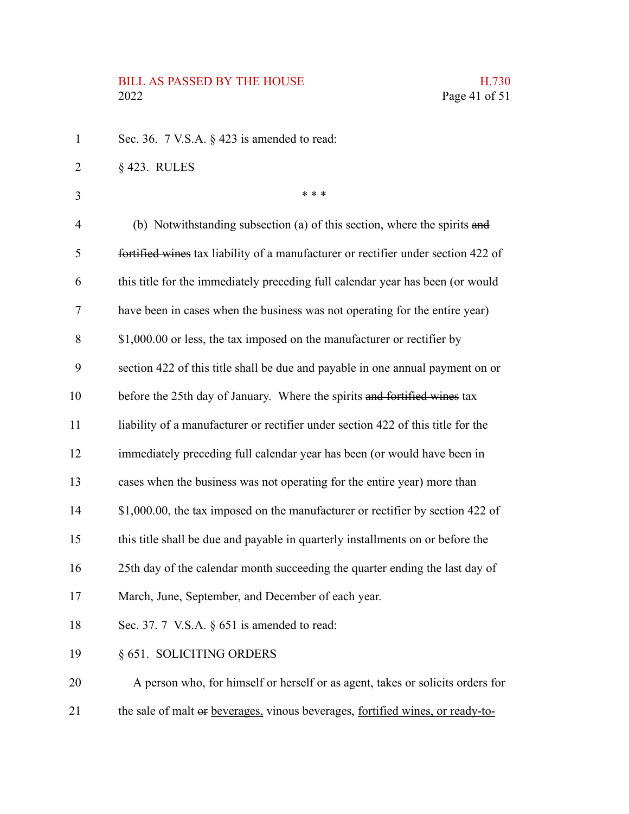# BILL AS PASSED BY THE HOUSE H.730<br>2022 Page 41 of 51

| $\mathbf{1}$   | Sec. 36. 7 V.S.A. § 423 is amended to read:                                       |
|----------------|-----------------------------------------------------------------------------------|
| $\overline{2}$ | $§$ 423. RULES                                                                    |
| 3              | * * *                                                                             |
| 4              | (b) Notwithstanding subsection (a) of this section, where the spirits and         |
| 5              | fortified wines tax liability of a manufacturer or rectifier under section 422 of |
| 6              | this title for the immediately preceding full calendar year has been (or would    |
| 7              | have been in cases when the business was not operating for the entire year)       |
| 8              | \$1,000.00 or less, the tax imposed on the manufacturer or rectifier by           |
| 9              | section 422 of this title shall be due and payable in one annual payment on or    |
| 10             | before the 25th day of January. Where the spirits and fortified wines tax         |
| 11             | liability of a manufacturer or rectifier under section 422 of this title for the  |
| 12             | immediately preceding full calendar year has been (or would have been in          |
| 13             | cases when the business was not operating for the entire year) more than          |
| 14             | \$1,000.00, the tax imposed on the manufacturer or rectifier by section 422 of    |
| 15             | this title shall be due and payable in quarterly installments on or before the    |
| 16             | 25th day of the calendar month succeeding the quarter ending the last day of      |
| 17             | March, June, September, and December of each year.                                |
| 18             | Sec. 37. 7 V.S.A. $\S$ 651 is amended to read:                                    |
| 19             | § 651. SOLICITING ORDERS                                                          |
| 20             | A person who, for himself or herself or as agent, takes or solicits orders for    |
| 21             | the sale of malt or beverages, vinous beverages, fortified wines, or ready-to-    |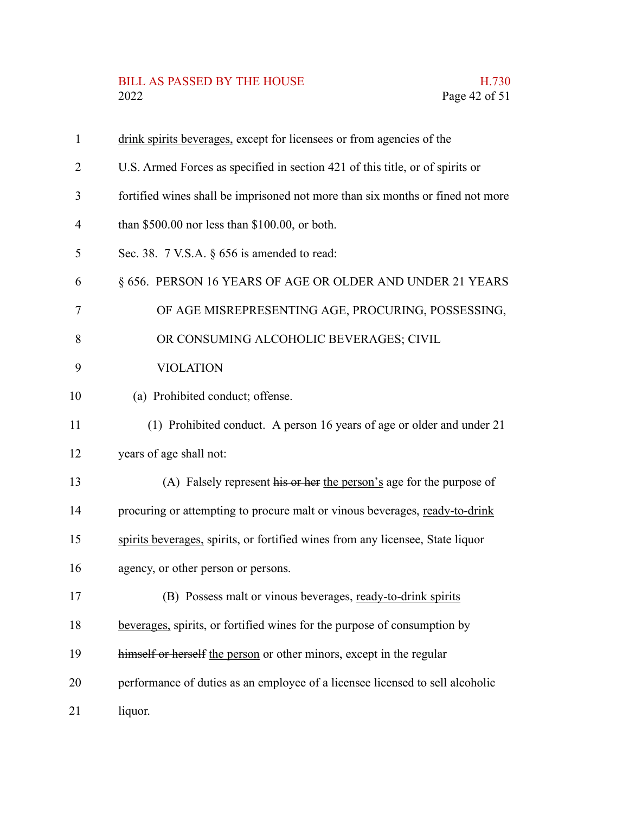## BILL AS PASSED BY THE HOUSE H.730<br>2022 Page 42 of 51

| $\mathbf{1}$   | drink spirits beverages, except for licensees or from agencies of the          |
|----------------|--------------------------------------------------------------------------------|
| 2              | U.S. Armed Forces as specified in section 421 of this title, or of spirits or  |
| 3              | fortified wines shall be imprisoned not more than six months or fined not more |
| $\overline{4}$ | than $$500.00$ nor less than $$100.00$ , or both.                              |
| 5              | Sec. 38. $7$ V.S.A. $\S$ 656 is amended to read:                               |
| 6              | § 656. PERSON 16 YEARS OF AGE OR OLDER AND UNDER 21 YEARS                      |
| 7              | OF AGE MISREPRESENTING AGE, PROCURING, POSSESSING,                             |
| 8              | OR CONSUMING ALCOHOLIC BEVERAGES; CIVIL                                        |
| 9              | <b>VIOLATION</b>                                                               |
| 10             | (a) Prohibited conduct; offense.                                               |
| 11             | (1) Prohibited conduct. A person 16 years of age or older and under 21         |
| 12             | years of age shall not:                                                        |
| 13             | (A) Falsely represent his or her the person's age for the purpose of           |
| 14             | procuring or attempting to procure malt or vinous beverages, ready-to-drink    |
| 15             | spirits beverages, spirits, or fortified wines from any licensee, State liquor |
| 16             | agency, or other person or persons.                                            |
| 17             | (B) Possess malt or vinous beverages, ready-to-drink spirits                   |
| 18             | beverages, spirits, or fortified wines for the purpose of consumption by       |
| 19             | himself or herself the person or other minors, except in the regular           |
| 20             | performance of duties as an employee of a licensee licensed to sell alcoholic  |
| 21             | liquor.                                                                        |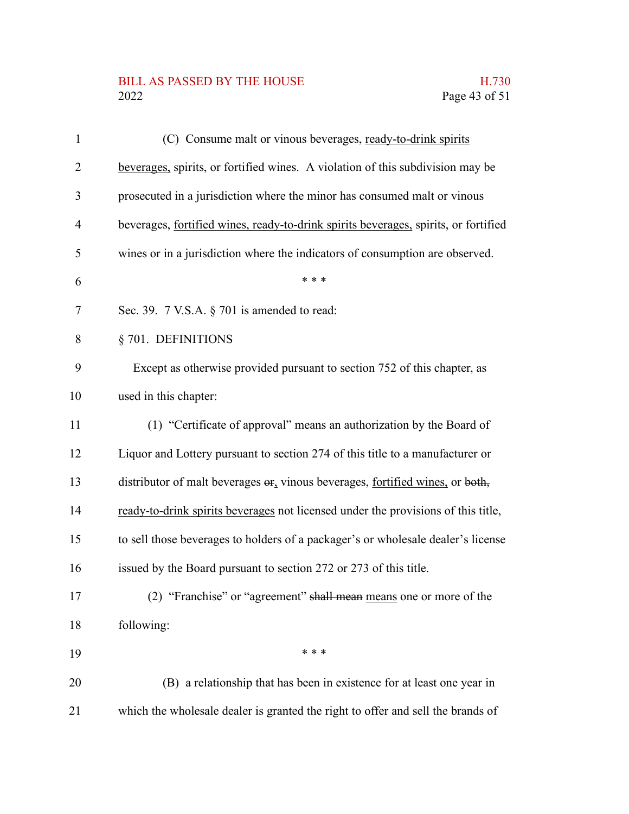## BILL AS PASSED BY THE HOUSE H.730<br>2022 Page 43 of 51

| 1              | (C) Consume malt or vinous beverages, ready-to-drink spirits                        |
|----------------|-------------------------------------------------------------------------------------|
| $\overline{2}$ | beverages, spirits, or fortified wines. A violation of this subdivision may be      |
| 3              | prosecuted in a jurisdiction where the minor has consumed malt or vinous            |
| $\overline{4}$ | beverages, fortified wines, ready-to-drink spirits beverages, spirits, or fortified |
| 5              | wines or in a jurisdiction where the indicators of consumption are observed.        |
| 6              | * * *                                                                               |
| 7              | Sec. 39. $7$ V.S.A. $\S$ 701 is amended to read:                                    |
| 8              | § 701. DEFINITIONS                                                                  |
| 9              | Except as otherwise provided pursuant to section 752 of this chapter, as            |
| 10             | used in this chapter:                                                               |
| 11             | (1) "Certificate of approval" means an authorization by the Board of                |
| 12             | Liquor and Lottery pursuant to section 274 of this title to a manufacturer or       |
| 13             | distributor of malt beverages $er_1$ vinous beverages, fortified wines, or both,    |
| 14             | ready-to-drink spirits beverages not licensed under the provisions of this title,   |
| 15             | to sell those beverages to holders of a packager's or wholesale dealer's license    |
| 16             | issued by the Board pursuant to section 272 or 273 of this title.                   |
| 17             | (2) "Franchise" or "agreement" shall mean means one or more of the                  |
| 18             | following:                                                                          |
| 19             | * * *                                                                               |
| 20             | (B) a relationship that has been in existence for at least one year in              |
| 21             | which the wholesale dealer is granted the right to offer and sell the brands of     |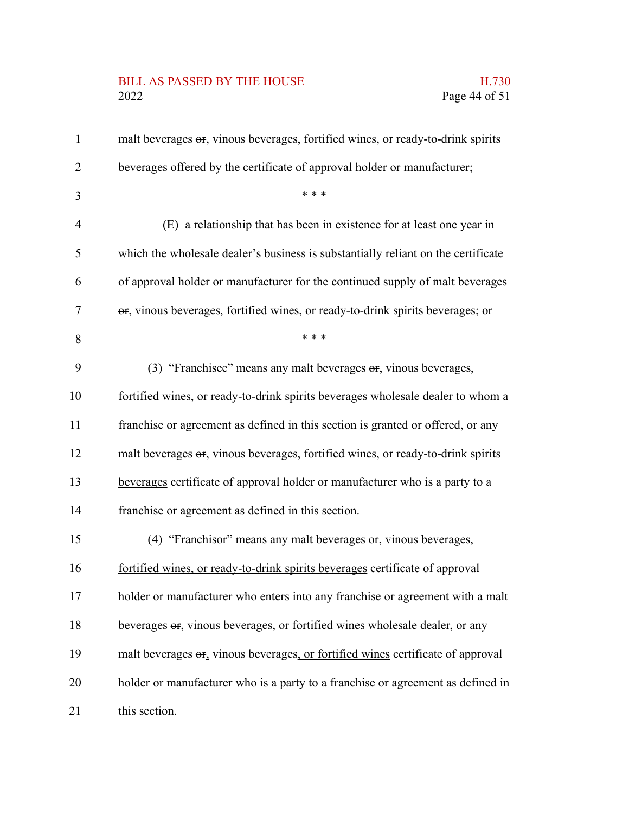# BILL AS PASSED BY THE HOUSE H.730<br>2022 Page 44 of 51

| $\mathbf{1}$ | malt beverages or, vinous beverages, fortified wines, or ready-to-drink spirits               |
|--------------|-----------------------------------------------------------------------------------------------|
| 2            | beverages offered by the certificate of approval holder or manufacturer;                      |
| 3            | * * *                                                                                         |
| 4            | (E) a relationship that has been in existence for at least one year in                        |
| 5            | which the wholesale dealer's business is substantially reliant on the certificate             |
| 6            | of approval holder or manufacturer for the continued supply of malt beverages                 |
| 7            | or, vinous beverages, fortified wines, or ready-to-drink spirits beverages; or                |
| 8            | * * *                                                                                         |
| 9            | (3) "Franchisee" means any malt beverages $\sigma_{f_2}$ vinous beverages,                    |
| 10           | fortified wines, or ready-to-drink spirits beverages wholesale dealer to whom a               |
| 11           | franchise or agreement as defined in this section is granted or offered, or any               |
| 12           | malt beverages or, vinous beverages, fortified wines, or ready-to-drink spirits               |
| 13           | beverages certificate of approval holder or manufacturer who is a party to a                  |
| 14           | franchise or agreement as defined in this section.                                            |
| 15           | (4) "Franchisor" means any malt beverages $\sigma$ <sub>r</sub> vinous beverages,             |
| 16           | fortified wines, or ready-to-drink spirits beverages certificate of approval                  |
| 17           | holder or manufacturer who enters into any franchise or agreement with a malt                 |
| 18           | beverages $\Theta$ <sub>r</sub> vinous beverages, or fortified wines wholesale dealer, or any |
| 19           | malt beverages or, vinous beverages, or fortified wines certificate of approval               |
| 20           | holder or manufacturer who is a party to a franchise or agreement as defined in               |
| 21           | this section.                                                                                 |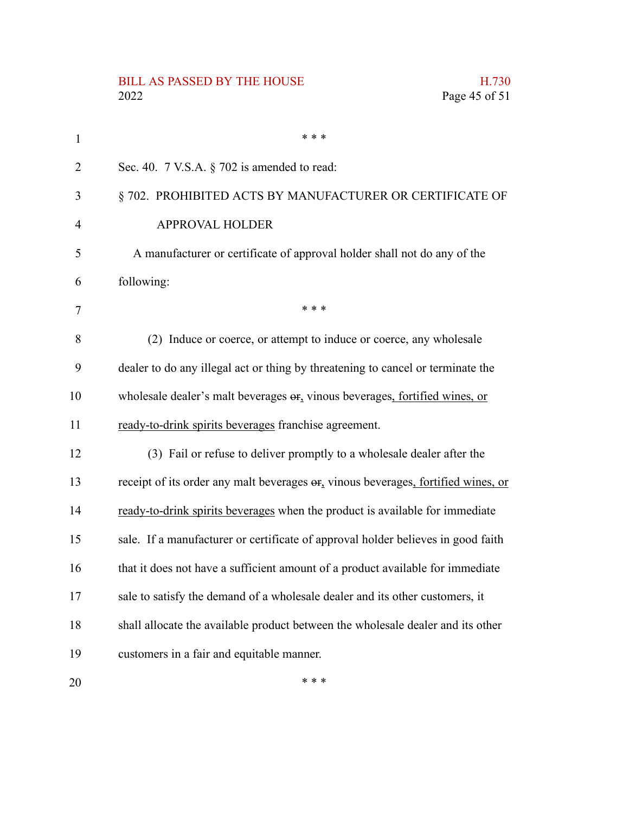#### BILL AS PASSED BY THE HOUSE **H.730** 2022 Page 45 of 51 \* \* \* Sec. 40. 7 V.S.A. § 702 is amended to read: § 702. PROHIBITED ACTS BY MANUFACTURER OR CERTIFICATE OF APPROVAL HOLDER A manufacturer or certificate of approval holder shall not do any of the following: \* \* \* (2) Induce or coerce, or attempt to induce or coerce, any wholesale dealer to do any illegal act or thing by threatening to cancel or terminate the wholesale dealer's malt beverages or, vinous beverages, fortified wines, or ready-to-drink spirits beverages franchise agreement. (3) Fail or refuse to deliver promptly to a wholesale dealer after the receipt of its order any malt beverages or, vinous beverages, fortified wines, or ready-to-drink spirits beverages when the product is available for immediate sale. If a manufacturer or certificate of approval holder believes in good faith that it does not have a sufficient amount of a product available for immediate sale to satisfy the demand of a wholesale dealer and its other customers, it shall allocate the available product between the wholesale dealer and its other customers in a fair and equitable manner. 1 2 3 4 5 6 7 8 9 10 11 12 13 14 15 16 17 18 19

20

\* \* \*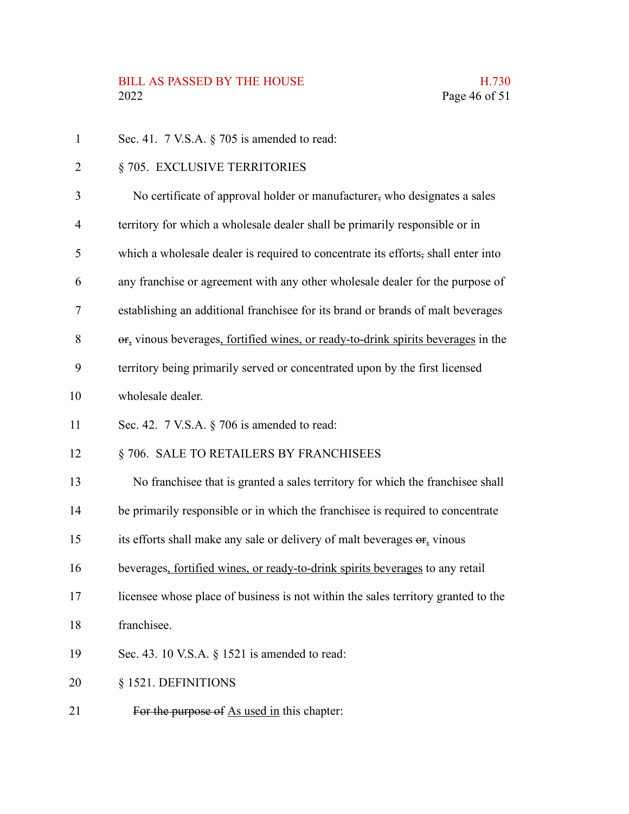#### BILL AS PASSED BY THE HOUSE **H.730** 2022 Page 46 of 51

- Sec. 41. 7 V.S.A. § 705 is amended to read: § 705. EXCLUSIVE TERRITORIES No certificate of approval holder or manufacturer, who designates a sales territory for which a wholesale dealer shall be primarily responsible or in which a wholesale dealer is required to concentrate its efforts, shall enter into any franchise or agreement with any other wholesale dealer for the purpose of establishing an additional franchisee for its brand or brands of malt beverages or, vinous beverages, fortified wines, or ready-to-drink spirits beverages in the territory being primarily served or concentrated upon by the first licensed wholesale dealer. Sec. 42. 7 V.S.A. § 706 is amended to read: § 706. SALE TO RETAILERS BY FRANCHISEES No franchisee that is granted a sales territory for which the franchisee shall be primarily responsible or in which the franchisee is required to concentrate its efforts shall make any sale or delivery of malt beverages or, vinous beverages, fortified wines, or ready-to-drink spirits beverages to any retail licensee whose place of business is not within the sales territory granted to the franchisee. Sec. 43. 10 V.S.A. § 1521 is amended to read: § 1521. DEFINITIONS 1 2 3 4 5 6 7 8 9 10 11 12 13 14 15 16 17 18 19 20
- For the purpose of As used in this chapter: 21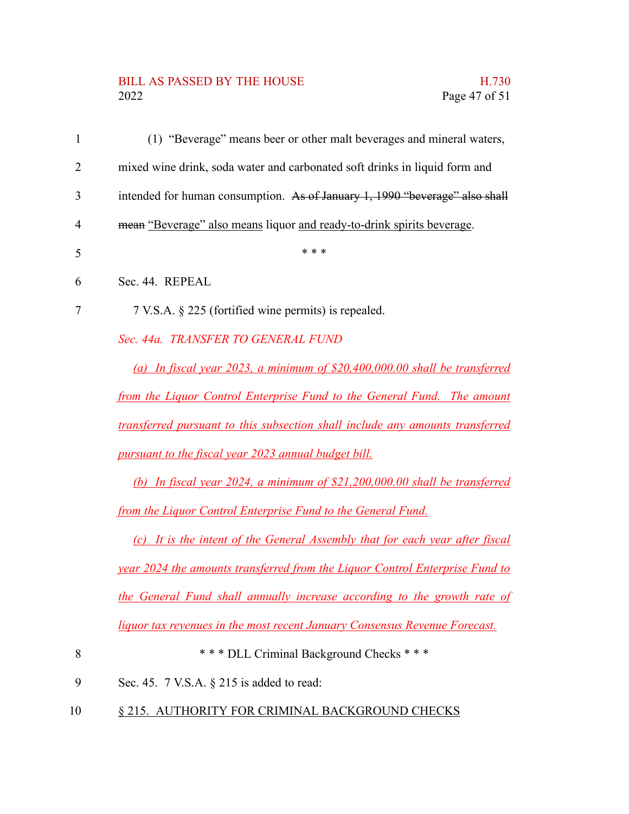# BILL AS PASSED BY THE HOUSE H.730<br>2022 Page 47 of 51

| 1              | (1) "Beverage" means beer or other malt beverages and mineral waters,         |
|----------------|-------------------------------------------------------------------------------|
| $\overline{2}$ | mixed wine drink, soda water and carbonated soft drinks in liquid form and    |
| 3              | intended for human consumption. As of January 1, 1990 "beverage" also shall   |
| 4              | mean "Beverage" also means liquor and ready-to-drink spirits beverage.        |
| 5              | * * *                                                                         |
| 6              | Sec. 44. REPEAL                                                               |
| 7              | 7 V.S.A. § 225 (fortified wine permits) is repealed.                          |
|                | Sec. 44a. TRANSFER TO GENERAL FUND                                            |
|                | (a) In fiscal year 2023, a minimum of $$20,400,000.00$ shall be transferred   |
|                | from the Liquor Control Enterprise Fund to the General Fund. The amount       |
|                | transferred pursuant to this subsection shall include any amounts transferred |
|                | pursuant to the fiscal year 2023 annual budget bill.                          |
|                | (b) In fiscal year 2024, a minimum of $$21,200,000.00$ shall be transferred   |
|                | from the Liquor Control Enterprise Fund to the General Fund.                  |
|                | (c) It is the intent of the General Assembly that for each year after fiscal  |
|                | year 2024 the amounts transferred from the Liquor Control Enterprise Fund to  |
|                | the General Fund shall annually increase according to the growth rate of      |
|                | liquor tax revenues in the most recent January Consensus Revenue Forecast.    |
| 8              | *** DLL Criminal Background Checks ***                                        |
| 9              | Sec. 45. 7 V.S.A. § 215 is added to read:                                     |

10 § 215. AUTHORITY FOR CRIMINAL BACKGROUND CHECKS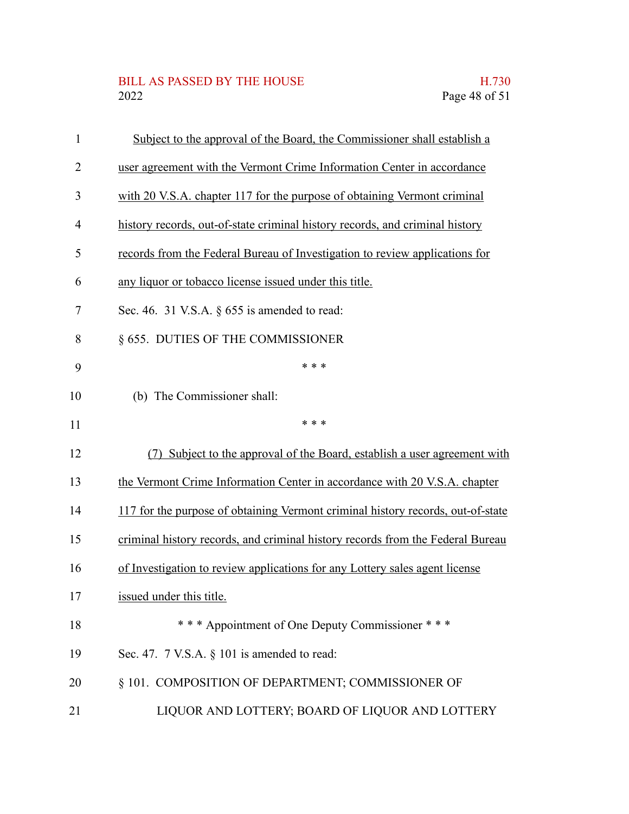## BILL AS PASSED BY THE HOUSE H.730<br>2022 Page 48 of 51

| 1              | Subject to the approval of the Board, the Commissioner shall establish a        |
|----------------|---------------------------------------------------------------------------------|
| $\overline{2}$ | user agreement with the Vermont Crime Information Center in accordance          |
| 3              | with 20 V.S.A. chapter 117 for the purpose of obtaining Vermont criminal        |
| 4              | history records, out-of-state criminal history records, and criminal history    |
| 5              | records from the Federal Bureau of Investigation to review applications for     |
| 6              | any liquor or tobacco license issued under this title.                          |
| 7              | Sec. 46. 31 V.S.A. $\S$ 655 is amended to read:                                 |
| 8              | § 655. DUTIES OF THE COMMISSIONER                                               |
| 9              | * * *                                                                           |
| 10             | (b) The Commissioner shall:                                                     |
| 11             | * * *                                                                           |
| 12             | Subject to the approval of the Board, establish a user agreement with<br>(7)    |
| 13             | the Vermont Crime Information Center in accordance with 20 V.S.A. chapter       |
| 14             | 117 for the purpose of obtaining Vermont criminal history records, out-of-state |
| 15             | criminal history records, and criminal history records from the Federal Bureau  |
| 16             | of Investigation to review applications for any Lottery sales agent license     |
| 17             | issued under this title.                                                        |
| 18             | *** Appointment of One Deputy Commissioner ***                                  |
| 19             | Sec. 47. 7 V.S.A. § 101 is amended to read:                                     |
| 20             | § 101. COMPOSITION OF DEPARTMENT; COMMISSIONER OF                               |
| 21             | LIQUOR AND LOTTERY; BOARD OF LIQUOR AND LOTTERY                                 |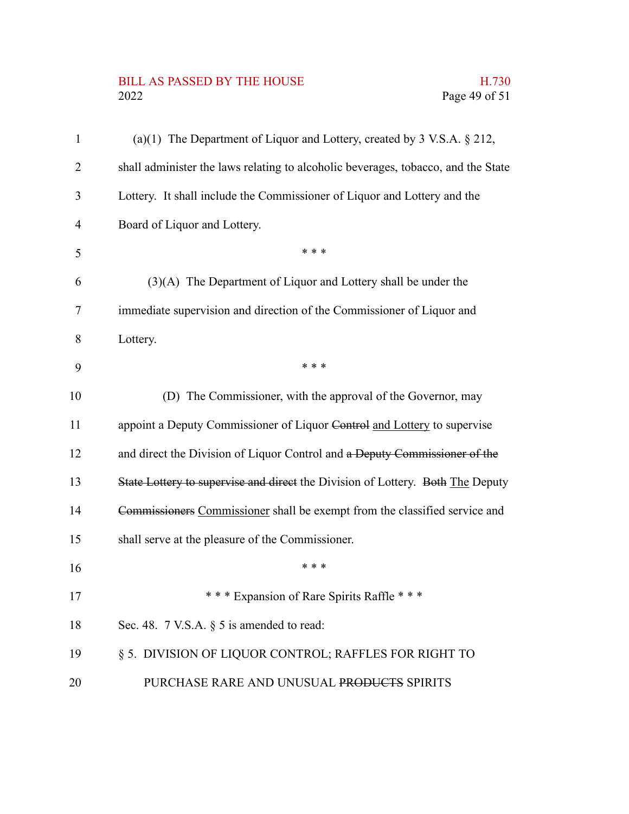## BILL AS PASSED BY THE HOUSE H.730<br>2022 Page 49 of 51

| $\mathbf{1}$   | (a)(1) The Department of Liquor and Lottery, created by $3$ V.S.A. $\S$ 212,      |
|----------------|-----------------------------------------------------------------------------------|
| 2              | shall administer the laws relating to alcoholic beverages, tobacco, and the State |
| 3              | Lottery. It shall include the Commissioner of Liquor and Lottery and the          |
| $\overline{4}$ | Board of Liquor and Lottery.                                                      |
| 5              | * * *                                                                             |
| 6              | (3)(A) The Department of Liquor and Lottery shall be under the                    |
| 7              | immediate supervision and direction of the Commissioner of Liquor and             |
| 8              | Lottery.                                                                          |
| 9              | * * *                                                                             |
| 10             | (D) The Commissioner, with the approval of the Governor, may                      |
| 11             | appoint a Deputy Commissioner of Liquor Control and Lottery to supervise          |
| 12             | and direct the Division of Liquor Control and a Deputy Commissioner of the        |
| 13             | State Lottery to supervise and direct the Division of Lottery. Both The Deputy    |
| 14             | Commissioners Commissioner shall be exempt from the classified service and        |
| 15             | shall serve at the pleasure of the Commissioner.                                  |
| 16             | * * *                                                                             |
| 17             | *** Expansion of Rare Spirits Raffle ***                                          |
| 18             | Sec. 48. $7$ V.S.A. $\S$ 5 is amended to read:                                    |
| 19             | § 5. DIVISION OF LIQUOR CONTROL; RAFFLES FOR RIGHT TO                             |
| 20             | PURCHASE RARE AND UNUSUAL PRODUCTS SPIRITS                                        |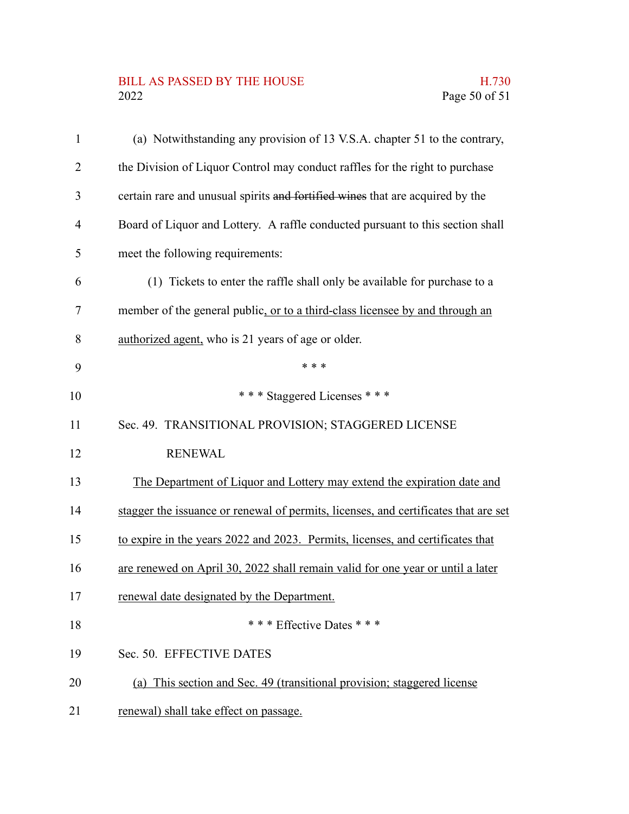## BILL AS PASSED BY THE HOUSE H.730<br>2022 Page 50 of 51

| $\mathbf{1}$   | (a) Notwithstanding any provision of 13 V.S.A. chapter 51 to the contrary,          |
|----------------|-------------------------------------------------------------------------------------|
| $\overline{2}$ | the Division of Liquor Control may conduct raffles for the right to purchase        |
| 3              | certain rare and unusual spirits and fortified wines that are acquired by the       |
| 4              | Board of Liquor and Lottery. A raffle conducted pursuant to this section shall      |
| 5              | meet the following requirements:                                                    |
| 6              | (1) Tickets to enter the raffle shall only be available for purchase to a           |
| 7              | member of the general public, or to a third-class licensee by and through an        |
| 8              | authorized agent, who is 21 years of age or older.                                  |
| 9              | * * *                                                                               |
| 10             | *** Staggered Licenses ***                                                          |
| 11             | Sec. 49. TRANSITIONAL PROVISION; STAGGERED LICENSE                                  |
| 12             | <b>RENEWAL</b>                                                                      |
| 13             | The Department of Liquor and Lottery may extend the expiration date and             |
| 14             | stagger the issuance or renewal of permits, licenses, and certificates that are set |
| 15             | to expire in the years 2022 and 2023. Permits, licenses, and certificates that      |
| 16             | are renewed on April 30, 2022 shall remain valid for one year or until a later      |
| 17             | renewal date designated by the Department.                                          |
| 18             | * * * Effective Dates * * *                                                         |
| 19             | Sec. 50. EFFECTIVE DATES                                                            |
| 20             | (a) This section and Sec. 49 (transitional provision; staggered license             |
| 21             | renewal) shall take effect on passage.                                              |